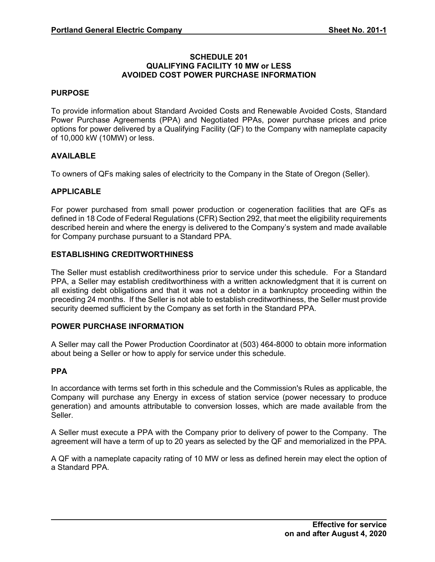### **SCHEDULE 201 QUALIFYING FACILITY 10 MW or LESS AVOIDED COST POWER PURCHASE INFORMATION**

### **PURPOSE**

To provide information about Standard Avoided Costs and Renewable Avoided Costs, Standard Power Purchase Agreements (PPA) and Negotiated PPAs, power purchase prices and price options for power delivered by a Qualifying Facility (QF) to the Company with nameplate capacity of 10,000 kW (10MW) or less.

### **AVAILABLE**

To owners of QFs making sales of electricity to the Company in the State of Oregon (Seller).

### **APPLICABLE**

For power purchased from small power production or cogeneration facilities that are QFs as defined in 18 Code of Federal Regulations (CFR) Section 292, that meet the eligibility requirements described herein and where the energy is delivered to the Company's system and made available for Company purchase pursuant to a Standard PPA.

## **ESTABLISHING CREDITWORTHINESS**

The Seller must establish creditworthiness prior to service under this schedule. For a Standard PPA, a Seller may establish creditworthiness with a written acknowledgment that it is current on all existing debt obligations and that it was not a debtor in a bankruptcy proceeding within the preceding 24 months. If the Seller is not able to establish creditworthiness, the Seller must provide security deemed sufficient by the Company as set forth in the Standard PPA.

#### **POWER PURCHASE INFORMATION**

A Seller may call the Power Production Coordinator at (503) 464-8000 to obtain more information about being a Seller or how to apply for service under this schedule.

#### **PPA**

In accordance with terms set forth in this schedule and the Commission's Rules as applicable, the Company will purchase any Energy in excess of station service (power necessary to produce generation) and amounts attributable to conversion losses, which are made available from the Seller.

A Seller must execute a PPA with the Company prior to delivery of power to the Company. The agreement will have a term of up to 20 years as selected by the QF and memorialized in the PPA.

A QF with a nameplate capacity rating of 10 MW or less as defined herein may elect the option of a Standard PPA.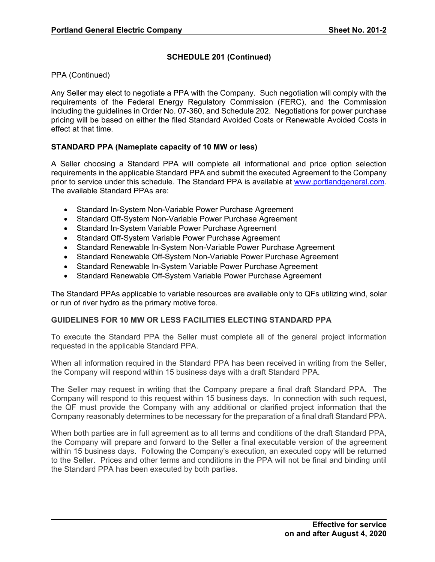PPA (Continued)

Any Seller may elect to negotiate a PPA with the Company. Such negotiation will comply with the requirements of the Federal Energy Regulatory Commission (FERC), and the Commission including the guidelines in Order No. 07-360, and Schedule 202. Negotiations for power purchase pricing will be based on either the filed Standard Avoided Costs or Renewable Avoided Costs in effect at that time.

## **STANDARD PPA (Nameplate capacity of 10 MW or less)**

A Seller choosing a Standard PPA will complete all informational and price option selection requirements in the applicable Standard PPA and submit the executed Agreement to the Company prior to service under this schedule. The Standard PPA is available at www.portlandgeneral.com. The available Standard PPAs are:

- Standard In-System Non-Variable Power Purchase Agreement
- Standard Off-System Non-Variable Power Purchase Agreement
- Standard In-System Variable Power Purchase Agreement
- Standard Off-System Variable Power Purchase Agreement
- Standard Renewable In-System Non-Variable Power Purchase Agreement
- Standard Renewable Off-System Non-Variable Power Purchase Agreement
- Standard Renewable In-System Variable Power Purchase Agreement
- Standard Renewable Off-System Variable Power Purchase Agreement

The Standard PPAs applicable to variable resources are available only to QFs utilizing wind, solar or run of river hydro as the primary motive force.

## **GUIDELINES FOR 10 MW OR LESS FACILITIES ELECTING STANDARD PPA**

To execute the Standard PPA the Seller must complete all of the general project information requested in the applicable Standard PPA.

When all information required in the Standard PPA has been received in writing from the Seller, the Company will respond within 15 business days with a draft Standard PPA.

The Seller may request in writing that the Company prepare a final draft Standard PPA. The Company will respond to this request within 15 business days. In connection with such request, the QF must provide the Company with any additional or clarified project information that the Company reasonably determines to be necessary for the preparation of a final draft Standard PPA.

When both parties are in full agreement as to all terms and conditions of the draft Standard PPA, the Company will prepare and forward to the Seller a final executable version of the agreement within 15 business days. Following the Company's execution, an executed copy will be returned to the Seller. Prices and other terms and conditions in the PPA will not be final and binding until the Standard PPA has been executed by both parties.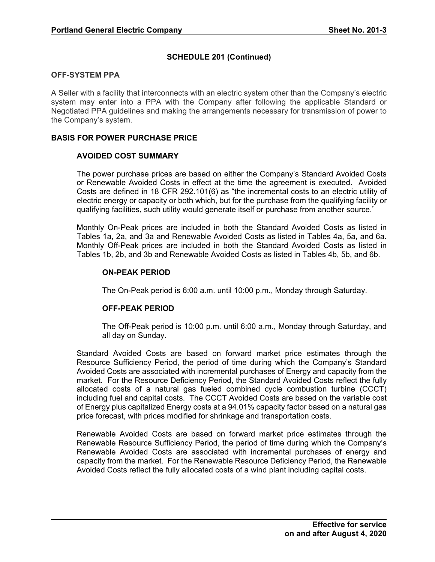### **OFF-SYSTEM PPA**

A Seller with a facility that interconnects with an electric system other than the Company's electric system may enter into a PPA with the Company after following the applicable Standard or Negotiated PPA guidelines and making the arrangements necessary for transmission of power to the Company's system.

## **BASIS FOR POWER PURCHASE PRICE**

## **AVOIDED COST SUMMARY**

The power purchase prices are based on either the Company's Standard Avoided Costs or Renewable Avoided Costs in effect at the time the agreement is executed. Avoided Costs are defined in 18 CFR 292.101(6) as "the incremental costs to an electric utility of electric energy or capacity or both which, but for the purchase from the qualifying facility or qualifying facilities, such utility would generate itself or purchase from another source."

Monthly On-Peak prices are included in both the Standard Avoided Costs as listed in Tables 1a, 2a, and 3a and Renewable Avoided Costs as listed in Tables 4a, 5a, and 6a. Monthly Off-Peak prices are included in both the Standard Avoided Costs as listed in Tables 1b, 2b, and 3b and Renewable Avoided Costs as listed in Tables 4b, 5b, and 6b.

### **ON-PEAK PERIOD**

The On-Peak period is 6:00 a.m. until 10:00 p.m., Monday through Saturday.

## **OFF-PEAK PERIOD**

The Off-Peak period is 10:00 p.m. until 6:00 a.m., Monday through Saturday, and all day on Sunday.

Standard Avoided Costs are based on forward market price estimates through the Resource Sufficiency Period, the period of time during which the Company's Standard Avoided Costs are associated with incremental purchases of Energy and capacity from the market. For the Resource Deficiency Period, the Standard Avoided Costs reflect the fully allocated costs of a natural gas fueled combined cycle combustion turbine (CCCT) including fuel and capital costs. The CCCT Avoided Costs are based on the variable cost of Energy plus capitalized Energy costs at a 94.01% capacity factor based on a natural gas price forecast, with prices modified for shrinkage and transportation costs.

Renewable Avoided Costs are based on forward market price estimates through the Renewable Resource Sufficiency Period, the period of time during which the Company's Renewable Avoided Costs are associated with incremental purchases of energy and capacity from the market. For the Renewable Resource Deficiency Period, the Renewable Avoided Costs reflect the fully allocated costs of a wind plant including capital costs.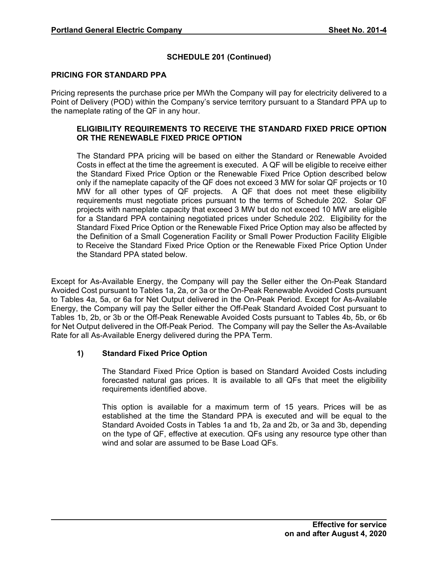### **PRICING FOR STANDARD PPA**

Pricing represents the purchase price per MWh the Company will pay for electricity delivered to a Point of Delivery (POD) within the Company's service territory pursuant to a Standard PPA up to the nameplate rating of the QF in any hour.

### **ELIGIBILITY REQUIREMENTS TO RECEIVE THE STANDARD FIXED PRICE OPTION OR THE RENEWABLE FIXED PRICE OPTION**

The Standard PPA pricing will be based on either the Standard or Renewable Avoided Costs in effect at the time the agreement is executed. A QF will be eligible to receive either the Standard Fixed Price Option or the Renewable Fixed Price Option described below only if the nameplate capacity of the QF does not exceed 3 MW for solar QF projects or 10 MW for all other types of QF projects. A QF that does not meet these eligibility requirements must negotiate prices pursuant to the terms of Schedule 202. Solar QF projects with nameplate capacity that exceed 3 MW but do not exceed 10 MW are eligible for a Standard PPA containing negotiated prices under Schedule 202. Eligibility for the Standard Fixed Price Option or the Renewable Fixed Price Option may also be affected by the Definition of a Small Cogeneration Facility or Small Power Production Facility Eligible to Receive the Standard Fixed Price Option or the Renewable Fixed Price Option Under the Standard PPA stated below.

Except for As-Available Energy, the Company will pay the Seller either the On-Peak Standard Avoided Cost pursuant to Tables 1a, 2a, or 3a or the On-Peak Renewable Avoided Costs pursuant to Tables 4a, 5a, or 6a for Net Output delivered in the On-Peak Period. Except for As-Available Energy, the Company will pay the Seller either the Off-Peak Standard Avoided Cost pursuant to Tables 1b, 2b, or 3b or the Off-Peak Renewable Avoided Costs pursuant to Tables 4b, 5b, or 6b for Net Output delivered in the Off-Peak Period. The Company will pay the Seller the As-Available Rate for all As-Available Energy delivered during the PPA Term.

## **1) Standard Fixed Price Option**

The Standard Fixed Price Option is based on Standard Avoided Costs including forecasted natural gas prices. It is available to all QFs that meet the eligibility requirements identified above.

This option is available for a maximum term of 15 years. Prices will be as established at the time the Standard PPA is executed and will be equal to the Standard Avoided Costs in Tables 1a and 1b, 2a and 2b, or 3a and 3b, depending on the type of QF, effective at execution. QFs using any resource type other than wind and solar are assumed to be Base Load QFs.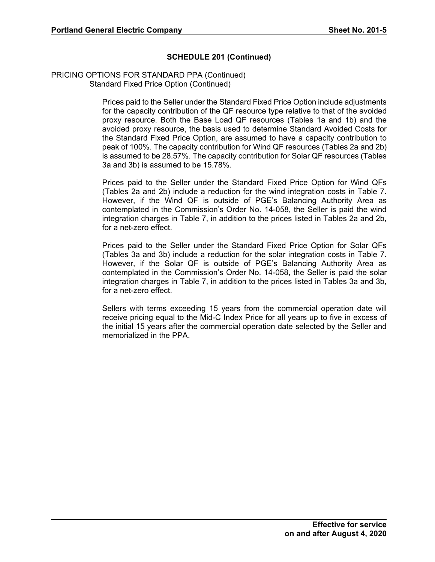#### PRICING OPTIONS FOR STANDARD PPA (Continued) Standard Fixed Price Option (Continued)

Prices paid to the Seller under the Standard Fixed Price Option include adjustments for the capacity contribution of the QF resource type relative to that of the avoided proxy resource. Both the Base Load QF resources (Tables 1a and 1b) and the avoided proxy resource, the basis used to determine Standard Avoided Costs for the Standard Fixed Price Option, are assumed to have a capacity contribution to peak of 100%. The capacity contribution for Wind QF resources (Tables 2a and 2b) is assumed to be 28.57%. The capacity contribution for Solar QF resources (Tables 3a and 3b) is assumed to be 15.78%.

Prices paid to the Seller under the Standard Fixed Price Option for Wind QFs (Tables 2a and 2b) include a reduction for the wind integration costs in Table 7. However, if the Wind QF is outside of PGE's Balancing Authority Area as contemplated in the Commission's Order No. 14-058, the Seller is paid the wind integration charges in Table 7, in addition to the prices listed in Tables 2a and 2b, for a net-zero effect.

Prices paid to the Seller under the Standard Fixed Price Option for Solar QFs (Tables 3a and 3b) include a reduction for the solar integration costs in Table 7. However, if the Solar QF is outside of PGE's Balancing Authority Area as contemplated in the Commission's Order No. 14-058, the Seller is paid the solar integration charges in Table 7, in addition to the prices listed in Tables 3a and 3b, for a net-zero effect.

Sellers with terms exceeding 15 years from the commercial operation date will receive pricing equal to the Mid-C Index Price for all years up to five in excess of the initial 15 years after the commercial operation date selected by the Seller and memorialized in the PPA.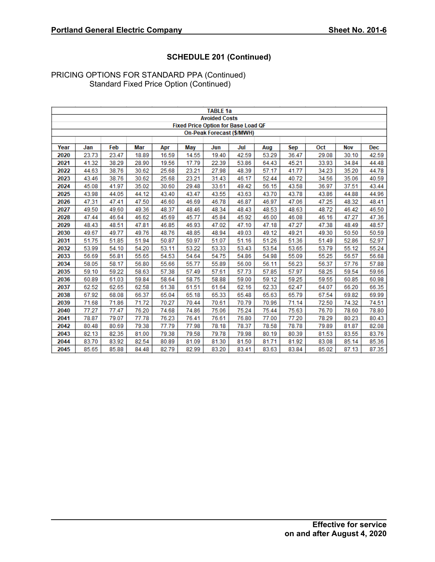|      |       |       |       |       |                                            | <b>TABLE 1a</b>      |                           |       |       |       |            |       |
|------|-------|-------|-------|-------|--------------------------------------------|----------------------|---------------------------|-------|-------|-------|------------|-------|
|      |       |       |       |       |                                            | <b>Avoided Costs</b> |                           |       |       |       |            |       |
|      |       |       |       |       | <b>Fixed Price Option for Base Load QF</b> |                      |                           |       |       |       |            |       |
|      |       |       |       |       |                                            |                      | On-Peak Forecast (\$/MWH) |       |       |       |            |       |
|      |       |       |       |       |                                            |                      |                           |       |       |       |            |       |
| Year | Jan   | Feb   | Mar   | Apr   | May                                        | Jun                  | Jul                       | Aug   | Sep   | Oct   | <b>Nov</b> | Dec   |
| 2020 | 23.73 | 23.47 | 18.89 | 16.59 | 14.55                                      | 19.40                | 42.59                     | 53.29 | 36.47 | 29.08 | 30.10      | 42.59 |
| 2021 | 41.32 | 38.29 | 28.90 | 19.56 | 17.79                                      | 22.39                | 53.86                     | 64.43 | 45.21 | 33.93 | 34.84      | 44.48 |
| 2022 | 44.63 | 38.76 | 30.62 | 25.68 | 23.21                                      | 27.98                | 48.39                     | 57.17 | 41.77 | 34.23 | 35.20      | 44.78 |
| 2023 | 43.46 | 38.76 | 30.62 | 25.68 | 23.21                                      | 31.43                | 46.17                     | 52.44 | 40.72 | 34.56 | 35.06      | 40.59 |
| 2024 | 45.08 | 41.97 | 35.02 | 30.60 | 29.48                                      | 33.61                | 49.42                     | 56.15 | 43.58 | 36.97 | 37.51      | 43.44 |
| 2025 | 43.98 | 44.05 | 44.12 | 43.40 | 43.47                                      | 43.55                | 43.63                     | 43.70 | 43.78 | 43.86 | 44.88      | 44.96 |
| 2026 | 47.31 | 47.41 | 47.50 | 46.60 | 46.69                                      | 46.78                | 46.87                     | 46.97 | 47.06 | 47.25 | 48.32      | 48.41 |
| 2027 | 49.50 | 49.60 | 49.36 | 48.37 | 48.46                                      | 48.34                | 48.43                     | 48.53 | 48.63 | 48.72 | 46.42      | 46.50 |
| 2028 | 47.44 | 46.64 | 46.62 | 45.69 | 45.77                                      | 45.84                | 45.92                     | 46.00 | 46.08 | 46.16 | 47.27      | 47.36 |
| 2029 | 48.43 | 48.51 | 47.81 | 46.85 | 46.93                                      | 47.02                | 47.10                     | 47.18 | 47.27 | 47.38 | 48.49      | 48.57 |
| 2030 | 49.67 | 49.77 | 49.76 | 48.76 | 48.85                                      | 48.94                | 49.03                     | 49.12 | 49.21 | 49.30 | 50.50      | 50.59 |
| 2031 | 51.75 | 51.85 | 51.94 | 50.87 | 50.97                                      | 51.07                | 51.16                     | 51.26 | 51.36 | 51.49 | 52.86      | 52.97 |
| 2032 | 53.99 | 54.10 | 54.20 | 53.11 | 53.22                                      | 53.33                | 53.43                     | 53.54 | 53.65 | 53.79 | 55.12      | 55.24 |
| 2033 | 56.69 | 56.81 | 55.65 | 54.53 | 54.64                                      | 54.75                | 54.86                     | 54.98 | 55.09 | 55.25 | 56.57      | 56.68 |
| 2034 | 58.05 | 58.17 | 56.80 | 55.66 | 55.77                                      | 55.89                | 56.00                     | 56.11 | 56.23 | 56.37 | 57.76      | 57.88 |
| 2035 | 59.10 | 59.22 | 58.63 | 57.38 | 57.49                                      | 57.61                | 57.73                     | 57.85 | 57.97 | 58.25 | 59.54      | 59.66 |
| 2036 | 60.89 | 61.03 | 59.84 | 58.64 | 58.75                                      | 58.88                | 59.00                     | 59.12 | 59.25 | 59.55 | 60.85      | 60.98 |
| 2037 | 62.52 | 62.65 | 62.58 | 61.38 | 61.51                                      | 61.64                | 62.16                     | 62.33 | 62.47 | 64.07 | 66.20      | 66.35 |
| 2038 | 67.92 | 68.08 | 66.37 | 65.04 | 65.18                                      | 65.33                | 65.48                     | 65.63 | 65.79 | 67.54 | 69.82      | 69.99 |
| 2039 | 71.68 | 71.86 | 71.72 | 70.27 | 70.44                                      | 70.61                | 70.79                     | 70.96 | 71.14 | 72.50 | 74.32      | 74.51 |
| 2040 | 77.27 | 77.47 | 76.20 | 74.68 | 74.86                                      | 75.06                | 75.24                     | 75.44 | 75.63 | 76.70 | 78.60      | 78.80 |
| 2041 | 78.87 | 79.07 | 77.78 | 76.23 | 76.41                                      | 76.61                | 76.80                     | 77.00 | 77.20 | 78.29 | 80.23      | 80.43 |
| 2042 | 80.48 | 80.69 | 79.38 | 77.79 | 77.98                                      | 78.18                | 78.37                     | 78.58 | 78.78 | 79.89 | 81.87      | 82.08 |
| 2043 | 82.13 | 82.35 | 81.00 | 79.38 | 79.58                                      | 79.78                | 79.98                     | 80.19 | 80.39 | 81.53 | 83.55      | 83.76 |
| 2044 | 83.70 | 83.92 | 82.54 | 80.89 | 81.09                                      | 81.30                | 81.50                     | 81.71 | 81.92 | 83.08 | 85.14      | 85.36 |
| 2045 | 85.65 | 85.88 | 84.48 | 82.79 | 82.99                                      | 83.20                | 83.41                     | 83.63 | 83.84 | 85.02 | 87.13      | 87.35 |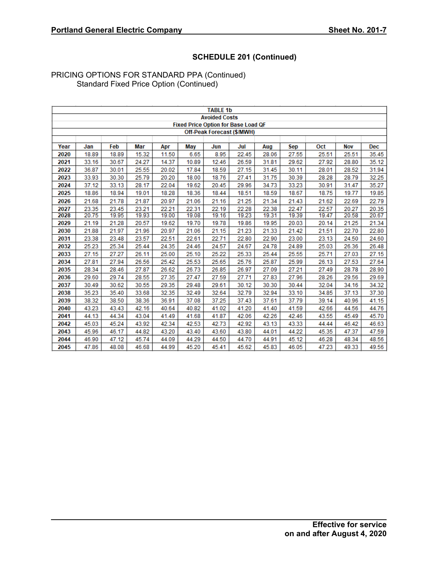|      |       |       |       |       |                                            | <b>TABLE 1b</b>      |                            |       |       |       |            |            |
|------|-------|-------|-------|-------|--------------------------------------------|----------------------|----------------------------|-------|-------|-------|------------|------------|
|      |       |       |       |       |                                            | <b>Avoided Costs</b> |                            |       |       |       |            |            |
|      |       |       |       |       | <b>Fixed Price Option for Base Load QF</b> |                      |                            |       |       |       |            |            |
|      |       |       |       |       |                                            |                      | Off-Peak Forecast (\$/MWH) |       |       |       |            |            |
|      |       |       |       |       |                                            |                      |                            |       |       |       |            |            |
| Year | Jan   | Feb   | Mar   | Apr   | May                                        | Jun                  | Jul                        | Aug   | Sep   | Oct   | <b>Nov</b> | <b>Dec</b> |
| 2020 | 18.89 | 18.89 | 15.32 | 11.50 | 6.65                                       | 8.95                 | 22.45                      | 28.06 | 27.55 | 25.51 | 25.51      | 35.45      |
| 2021 | 33.16 | 30.67 | 24.27 | 14.37 | 10.89                                      | 12.46                | 26.59                      | 31.81 | 29.62 | 27.92 | 28.80      | 35.12      |
| 2022 | 36.87 | 30.01 | 25.55 | 20.02 | 17.84                                      | 18.59                | 27.15                      | 31.45 | 30.11 | 28.01 | 28.52      | 31.94      |
| 2023 | 33.93 | 30.30 | 25.79 | 20.20 | 18.00                                      | 18.76                | 27.41                      | 31.75 | 30.39 | 28.28 | 28.79      | 32.25      |
| 2024 | 37.12 | 33.13 | 28.17 | 22.04 | 19.62                                      | 20.45                | 29.96                      | 34.73 | 33.23 | 30.91 | 31.47      | 35.27      |
| 2025 | 18.86 | 18.94 | 19.01 | 18.28 | 18.36                                      | 18.44                | 18.51                      | 18.59 | 18.67 | 18.75 | 19.77      | 19.85      |
| 2026 | 21.68 | 21.78 | 21.87 | 20.97 | 21.06                                      | 21.16                | 21.25                      | 21.34 | 21.43 | 21.62 | 22.69      | 22.79      |
| 2027 | 23.35 | 23.45 | 23.21 | 22.21 | 22.31                                      | 22.19                | 22.28                      | 22.38 | 22.47 | 22.57 | 20.27      | 20.35      |
| 2028 | 20.75 | 19.95 | 19.93 | 19.00 | 19.08                                      | 19.16                | 19.23                      | 19.31 | 19.39 | 19.47 | 20.58      | 20.67      |
| 2029 | 21.19 | 21.28 | 20.57 | 19.62 | 19.70                                      | 19.78                | 19.86                      | 19.95 | 20.03 | 20.14 | 21.25      | 21.34      |
| 2030 | 21.88 | 21.97 | 21.96 | 20.97 | 21.06                                      | 21.15                | 21.23                      | 21.33 | 21.42 | 21.51 | 22.70      | 22.80      |
| 2031 | 23.38 | 23.48 | 23.57 | 22.51 | 22.61                                      | 22.71                | 22.80                      | 22.90 | 23.00 | 23.13 | 24.50      | 24.60      |
| 2032 | 25.23 | 25.34 | 25.44 | 24.35 | 24.46                                      | 24.57                | 24.67                      | 24.78 | 24.89 | 25.03 | 26.36      | 26.48      |
| 2033 | 27.15 | 27.27 | 26.11 | 25.00 | 25.10                                      | 25.22                | 25.33                      | 25.44 | 25.55 | 25.71 | 27.03      | 27.15      |
| 2034 | 27.81 | 27.94 | 26.56 | 25.42 | 25.53                                      | 25.65                | 25.76                      | 25.87 | 25.99 | 26.13 | 27.53      | 27.64      |
| 2035 | 28.34 | 28.46 | 27.87 | 26.62 | 26.73                                      | 26.85                | 26.97                      | 27.09 | 27.21 | 27.49 | 28.78      | 28.90      |
| 2036 | 29.60 | 29.74 | 28.55 | 27.35 | 27.47                                      | 27.59                | 27.71                      | 27.83 | 27.96 | 28.26 | 29.56      | 29.69      |
| 2037 | 30.49 | 30.62 | 30.55 | 29.35 | 29.48                                      | 29.61                | 30.12                      | 30.30 | 30.44 | 32.04 | 34.16      | 34.32      |
| 2038 | 35.23 | 35.40 | 33.68 | 32.35 | 32.49                                      | 32.64                | 32.79                      | 32.94 | 33.10 | 34.85 | 37.13      | 37.30      |
| 2039 | 38.32 | 38.50 | 38.36 | 36.91 | 37.08                                      | 37.25                | 37.43                      | 37.61 | 37.79 | 39.14 | 40.96      | 41.15      |
| 2040 | 43.23 | 43.43 | 42.16 | 40.64 | 40.82                                      | 41.02                | 41.20                      | 41.40 | 41.59 | 42.66 | 44.56      | 44.76      |
| 2041 | 44.13 | 44.34 | 43.04 | 41.49 | 41.68                                      | 41.87                | 42.06                      | 42.26 | 42.46 | 43.55 | 45.49      | 45.70      |
| 2042 | 45.03 | 45.24 | 43.92 | 42.34 | 42.53                                      | 42.73                | 42.92                      | 43.13 | 43.33 | 44.44 | 46.42      | 46.63      |
| 2043 | 45.96 | 46.17 | 44.82 | 43.20 | 43.40                                      | 43.60                | 43.80                      | 44.01 | 44.22 | 45.35 | 47.37      | 47.59      |
| 2044 | 46.90 | 47.12 | 45.74 | 44.09 | 44.29                                      | 44.50                | 44.70                      | 44.91 | 45.12 | 46.28 | 48.34      | 48.56      |
| 2045 | 47.86 | 48.08 | 46.68 | 44.99 | 45.20                                      | 45.41                | 45.62                      | 45.83 | 46.05 | 47.23 | 49.33      | 49.56      |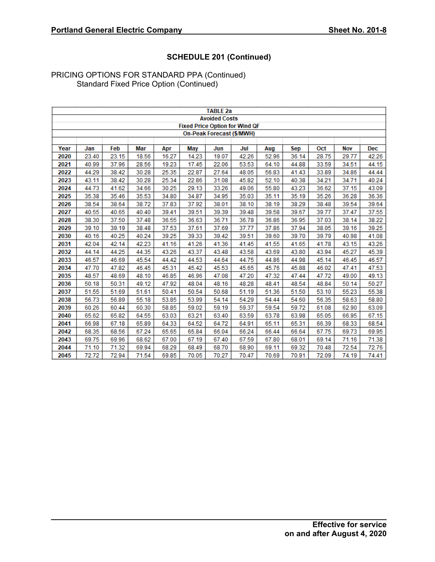|      |       |       |       |       |       | <b>TABLE 2a</b>                       |       |       |       |       |            |            |
|------|-------|-------|-------|-------|-------|---------------------------------------|-------|-------|-------|-------|------------|------------|
|      |       |       |       |       |       | <b>Avoided Costs</b>                  |       |       |       |       |            |            |
|      |       |       |       |       |       | <b>Fixed Price Option for Wind QF</b> |       |       |       |       |            |            |
|      |       |       |       |       |       | On-Peak Forecast (\$/MWH)             |       |       |       |       |            |            |
|      |       |       |       |       |       |                                       |       |       |       |       |            |            |
| Year | Jan   | Feb   | Mar   | Apr   | May   | Jun                                   | Jul   | Aug   | Sep   | Oct   | <b>Nov</b> | <b>Dec</b> |
| 2020 | 23.40 | 23.15 | 18.56 | 16.27 | 14.23 | 19.07                                 | 42.26 | 52.96 | 36.14 | 28.75 | 29.77      | 42.26      |
| 2021 | 40.99 | 37.96 | 28.56 | 19.23 | 17.45 | 22.06                                 | 53.53 | 64.10 | 44.88 | 33.59 | 34.51      | 44.15      |
| 2022 | 44.29 | 38.42 | 30.28 | 25.35 | 22.87 | 27.64                                 | 48.05 | 56.83 | 41.43 | 33.89 | 34.86      | 44.44      |
| 2023 | 43.11 | 38.42 | 30.28 | 25.34 | 22.86 | 31.08                                 | 45.82 | 52.10 | 40.38 | 34.21 | 34.71      | 40.24      |
| 2024 | 44.73 | 41.62 | 34.66 | 30.25 | 29.13 | 33.26                                 | 49.06 | 55.80 | 43.23 | 36.62 | 37.15      | 43.09      |
| 2025 | 35.38 | 35.46 | 35.53 | 34.80 | 34.87 | 34.95                                 | 35.03 | 35.11 | 35.19 | 35.26 | 36.28      | 36.36      |
| 2026 | 38.54 | 38.64 | 38.72 | 37.83 | 37.92 | 38.01                                 | 38.10 | 38.19 | 38.29 | 38.48 | 39.54      | 39.64      |
| 2027 | 40.55 | 40.65 | 40.40 | 39.41 | 39.51 | 39.39                                 | 39.48 | 39.58 | 39.67 | 39.77 | 37.47      | 37.55      |
| 2028 | 38.30 | 37.50 | 37.48 | 36.55 | 36.63 | 36.71                                 | 36.78 | 36.86 | 36.95 | 37.03 | 38.14      | 38.22      |
| 2029 | 39.10 | 39.19 | 38.48 | 37.53 | 37.61 | 37.69                                 | 37.77 | 37.86 | 37.94 | 38.05 | 39.16      | 39.25      |
| 2030 | 40.16 | 40.25 | 40.24 | 39.25 | 39.33 | 39.42                                 | 39.51 | 39.60 | 39.70 | 39.79 | 40.98      | 41.08      |
| 2031 | 42.04 | 42.14 | 42.23 | 41.16 | 41.26 | 41.36                                 | 41.45 | 41.55 | 41.65 | 41.78 | 43.15      | 43.26      |
| 2032 | 44.14 | 44.25 | 44.35 | 43.26 | 43.37 | 43.48                                 | 43.58 | 43.69 | 43.80 | 43.94 | 45.27      | 45.39      |
| 2033 | 46.57 | 46.69 | 45.54 | 44.42 | 44.53 | 44.64                                 | 44.75 | 44.86 | 44.98 | 45.14 | 46.45      | 46.57      |
| 2034 | 47.70 | 47.82 | 46.45 | 45.31 | 45.42 | 45.53                                 | 45.65 | 45.76 | 45.88 | 46.02 | 47.41      | 47.53      |
| 2035 | 48.57 | 48.69 | 48.10 | 46.85 | 46.96 | 47.08                                 | 47.20 | 47.32 | 47.44 | 47.72 | 49.00      | 49.13      |
| 2036 | 50.18 | 50.31 | 49.12 | 47.92 | 48.04 | 48.16                                 | 48.28 | 48.41 | 48.54 | 48.84 | 50.14      | 50.27      |
| 2037 | 51.55 | 51.69 | 51.61 | 50.41 | 50.54 | 50.68                                 | 51.19 | 51.36 | 51.50 | 53.10 | 55.23      | 55.38      |
| 2038 | 56.73 | 56.89 | 55.18 | 53.85 | 53.99 | 54.14                                 | 54.29 | 54.44 | 54.60 | 56.35 | 58.63      | 58.80      |
| 2039 | 60.26 | 60.44 | 60.30 | 58.85 | 59.02 | 59.19                                 | 59.37 | 59.54 | 59.72 | 61.08 | 62.90      | 63.09      |
| 2040 | 65.62 | 65.82 | 64.55 | 63.03 | 63.21 | 63.40                                 | 63.59 | 63.78 | 63.98 | 65.05 | 66.95      | 67.15      |
| 2041 | 66.98 | 67.18 | 65.89 | 64.33 | 64.52 | 64.72                                 | 64.91 | 65.11 | 65.31 | 66.39 | 68.33      | 68.54      |
| 2042 | 68.35 | 68.56 | 67.24 | 65.65 | 65.84 | 66.04                                 | 66.24 | 66.44 | 66.64 | 67.75 | 69.73      | 69.95      |
| 2043 | 69.75 | 69.96 | 68.62 | 67.00 | 67.19 | 67.40                                 | 67.59 | 67.80 | 68.01 | 69.14 | 71.16      | 71.38      |
| 2044 | 71.10 | 71.32 | 69.94 | 68.29 | 68.49 | 68.70                                 | 68.90 | 69.11 | 69.32 | 70.48 | 72.54      | 72.76      |
| 2045 | 72.72 | 72.94 | 71.54 | 69.85 | 70.05 | 70.27                                 | 70.47 | 70.69 | 70.91 | 72.09 | 74.19      | 74.41      |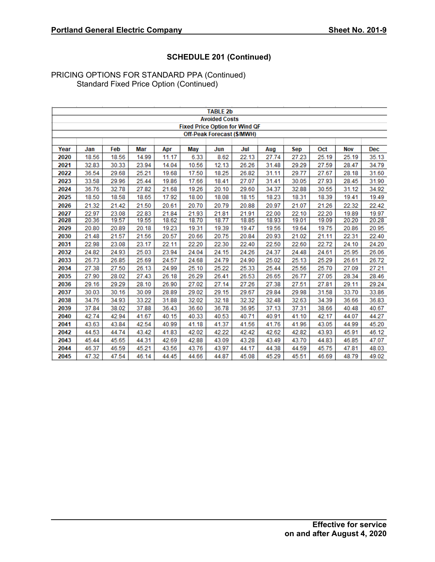|      |       |       |       |       |       | <b>TABLE 2b</b>            |                                       |       |            |       |            |            |
|------|-------|-------|-------|-------|-------|----------------------------|---------------------------------------|-------|------------|-------|------------|------------|
|      |       |       |       |       |       | <b>Avoided Costs</b>       |                                       |       |            |       |            |            |
|      |       |       |       |       |       |                            | <b>Fixed Price Option for Wind QF</b> |       |            |       |            |            |
|      |       |       |       |       |       | Off-Peak Forecast (\$/MWH) |                                       |       |            |       |            |            |
| Year | Jan   | Feb   | Mar   | Apr   | May   | Jun                        | Jul                                   | Aug   | <b>Sep</b> | Oct   | <b>Nov</b> | <b>Dec</b> |
| 2020 | 18.56 | 18.56 | 14.99 | 11.17 | 6.33  | 8.62                       | 22.13                                 | 27.74 | 27.23      | 25.19 | 25.19      | 35.13      |
| 2021 | 32.83 | 30.33 | 23.94 | 14.04 | 10.56 | 12.13                      | 26.26                                 | 31.48 | 29.29      | 27.59 | 28.47      | 34.79      |
| 2022 | 36.54 | 29.68 | 25.21 | 19.68 | 17.50 | 18.25                      | 26.82                                 | 31.11 | 29.77      | 27.67 | 28.18      | 31.60      |
| 2023 | 33.58 | 29.96 | 25.44 | 19.86 | 17.66 | 18.41                      | 27.07                                 | 31.41 | 30.05      | 27.93 | 28.45      | 31.90      |
| 2024 | 36.76 | 32.78 | 27.82 | 21.68 | 19.26 | 20.10                      | 29.60                                 | 34.37 | 32.88      | 30.55 | 31.12      | 34.92      |
| 2025 | 18.50 | 18.58 | 18.65 | 17.92 | 18.00 | 18.08                      | 18.15                                 | 18.23 | 18.31      | 18.39 | 19.41      | 19.49      |
| 2026 | 21.32 | 21.42 | 21.50 | 20.61 | 20.70 | 20.79                      | 20.88                                 | 20.97 | 21.07      | 21.26 | 22.32      | 22.42      |
| 2027 | 22.97 | 23.08 | 22.83 | 21.84 | 21.93 | 21.81                      | 21.91                                 | 22.00 | 22.10      | 22.20 | 19.89      | 19.97      |
| 2028 | 20.36 | 19.57 | 19.55 | 18.62 | 18.70 | 18.77                      | 18.85                                 | 18.93 | 19.01      | 19.09 | 20.20      | 20.28      |
| 2029 | 20.80 | 20.89 | 20.18 | 19.23 | 19.31 | 19.39                      | 19.47                                 | 19.56 | 19.64      | 19.75 | 20.86      | 20.95      |
| 2030 | 21.48 | 21.57 | 21.56 | 20.57 | 20.66 | 20.75                      | 20.84                                 | 20.93 | 21.02      | 21.11 | 22.31      | 22.40      |
| 2031 | 22.98 | 23.08 | 23.17 | 22.11 | 22.20 | 22.30                      | 22.40                                 | 22.50 | 22.60      | 22.72 | 24.10      | 24.20      |
| 2032 | 24.82 | 24.93 | 25.03 | 23.94 | 24.04 | 24.15                      | 24.26                                 | 24.37 | 24.48      | 24.61 | 25.95      | 26.06      |
| 2033 | 26.73 | 26.85 | 25.69 | 24.57 | 24.68 | 24.79                      | 24.90                                 | 25.02 | 25.13      | 25.29 | 26.61      | 26.72      |
| 2034 | 27.38 | 27.50 | 26.13 | 24.99 | 25.10 | 25.22                      | 25.33                                 | 25.44 | 25.56      | 25.70 | 27.09      | 27.21      |
| 2035 | 27.90 | 28.02 | 27.43 | 26.18 | 26.29 | 26.41                      | 26.53                                 | 26.65 | 26.77      | 27.05 | 28.34      | 28.46      |
| 2036 | 29.16 | 29.29 | 28.10 | 26.90 | 27.02 | 27.14                      | 27.26                                 | 27.38 | 27.51      | 27.81 | 29.11      | 29.24      |
| 2037 | 30.03 | 30.16 | 30.09 | 28.89 | 29.02 | 29.15                      | 29.67                                 | 29.84 | 29.98      | 31.58 | 33.70      | 33.86      |
| 2038 | 34.76 | 34.93 | 33.22 | 31.88 | 32.02 | 32.18                      | 32.32                                 | 32.48 | 32.63      | 34.39 | 36.66      | 36.83      |
| 2039 | 37.84 | 38.02 | 37.88 | 36.43 | 36.60 | 36.78                      | 36.95                                 | 37.13 | 37.31      | 38.66 | 40.48      | 40.67      |
| 2040 | 42.74 | 42.94 | 41.67 | 40.15 | 40.33 | 40.53                      | 40.71                                 | 40.91 | 41.10      | 42.17 | 44.07      | 44.27      |
| 2041 | 43.63 | 43.84 | 42.54 | 40.99 | 41.18 | 41.37                      | 41.56                                 | 41.76 | 41.96      | 43.05 | 44.99      | 45.20      |
| 2042 | 44.53 | 44.74 | 43.42 | 41.83 | 42.02 | 42.22                      | 42.42                                 | 42.62 | 42.82      | 43.93 | 45.91      | 46.12      |
| 2043 | 45.44 | 45.65 | 44.31 | 42.69 | 42.88 | 43.09                      | 43.28                                 | 43.49 | 43.70      | 44.83 | 46.85      | 47.07      |
| 2044 | 46.37 | 46.59 | 45.21 | 43.56 | 43.76 | 43.97                      | 44.17                                 | 44.38 | 44.59      | 45.75 | 47.81      | 48.03      |
| 2045 | 47.32 | 47.54 | 46.14 | 44.45 | 44.66 | 44.87                      | 45.08                                 | 45.29 | 45.51      | 46.69 | 48.79      | 49.02      |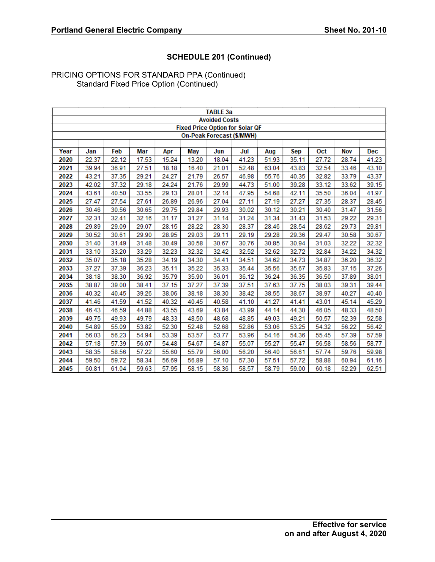|      |       |       |       |       |       | <b>TABLE 3a</b>                        |       |       |            |       |            |            |
|------|-------|-------|-------|-------|-------|----------------------------------------|-------|-------|------------|-------|------------|------------|
|      |       |       |       |       |       | <b>Avoided Costs</b>                   |       |       |            |       |            |            |
|      |       |       |       |       |       | <b>Fixed Price Option for Solar QF</b> |       |       |            |       |            |            |
|      |       |       |       |       |       | On-Peak Forecast (\$/MWH)              |       |       |            |       |            |            |
|      |       |       |       |       |       |                                        |       |       |            |       |            |            |
| Year | Jan   | Feb   | Mar   | Apr   | May   | Jun                                    | Jul   | Aug   | <b>Sep</b> | Oct   | <b>Nov</b> | <b>Dec</b> |
| 2020 | 22.37 | 22.12 | 17.53 | 15.24 | 13.20 | 18.04                                  | 41.23 | 51.93 | 35.11      | 27.72 | 28.74      | 41.23      |
| 2021 | 39.94 | 36.91 | 27.51 | 18.18 | 16.40 | 21.01                                  | 52.48 | 63.04 | 43.83      | 32.54 | 33.46      | 43.10      |
| 2022 | 43.21 | 37.35 | 29.21 | 24.27 | 21.79 | 26.57                                  | 46.98 | 55.76 | 40.35      | 32.82 | 33.79      | 43.37      |
| 2023 | 42.02 | 37.32 | 29.18 | 24.24 | 21.76 | 29.99                                  | 44.73 | 51.00 | 39.28      | 33.12 | 33.62      | 39.15      |
| 2024 | 43.61 | 40.50 | 33.55 | 29.13 | 28.01 | 32.14                                  | 47.95 | 54.68 | 42.11      | 35.50 | 36.04      | 41.97      |
| 2025 | 27.47 | 27.54 | 27.61 | 26.89 | 26.96 | 27.04                                  | 27.11 | 27.19 | 27.27      | 27.35 | 28.37      | 28.45      |
| 2026 | 30.46 | 30.56 | 30.65 | 29.75 | 29.84 | 29.93                                  | 30.02 | 30.12 | 30.21      | 30.40 | 31.47      | 31.56      |
| 2027 | 32.31 | 32.41 | 32.16 | 31.17 | 31.27 | 31.14                                  | 31.24 | 31.34 | 31.43      | 31.53 | 29.22      | 29.31      |
| 2028 | 29.89 | 29.09 | 29.07 | 28.15 | 28.22 | 28.30                                  | 28.37 | 28.46 | 28.54      | 28.62 | 29.73      | 29.81      |
| 2029 | 30.52 | 30.61 | 29.90 | 28.95 | 29.03 | 29.11                                  | 29.19 | 29.28 | 29.36      | 29.47 | 30.58      | 30.67      |
| 2030 | 31.40 | 31.49 | 31.48 | 30.49 | 30.58 | 30.67                                  | 30.76 | 30.85 | 30.94      | 31.03 | 32.22      | 32.32      |
| 2031 | 33.10 | 33.20 | 33.29 | 32.23 | 32.32 | 32.42                                  | 32.52 | 32.62 | 32.72      | 32.84 | 34.22      | 34.32      |
| 2032 | 35.07 | 35.18 | 35.28 | 34.19 | 34.30 | 34.41                                  | 34.51 | 34.62 | 34.73      | 34.87 | 36.20      | 36.32      |
| 2033 | 37.27 | 37.39 | 36.23 | 35.11 | 35.22 | 35.33                                  | 35.44 | 35.56 | 35.67      | 35.83 | 37.15      | 37.26      |
| 2034 | 38.18 | 38.30 | 36.92 | 35.79 | 35.90 | 36.01                                  | 36.12 | 36.24 | 36.35      | 36.50 | 37.89      | 38.01      |
| 2035 | 38.87 | 39.00 | 38.41 | 37.15 | 37.27 | 37.39                                  | 37.51 | 37.63 | 37.75      | 38.03 | 39.31      | 39.44      |
| 2036 | 40.32 | 40.45 | 39.26 | 38.06 | 38.18 | 38.30                                  | 38.42 | 38.55 | 38.67      | 38.97 | 40.27      | 40.40      |
| 2037 | 41.46 | 41.59 | 41.52 | 40.32 | 40.45 | 40.58                                  | 41.10 | 41.27 | 41.41      | 43.01 | 45.14      | 45.29      |
| 2038 | 46.43 | 46.59 | 44.88 | 43.55 | 43.69 | 43.84                                  | 43.99 | 44.14 | 44.30      | 46.05 | 48.33      | 48.50      |
| 2039 | 49.75 | 49.93 | 49.79 | 48.33 | 48.50 | 48.68                                  | 48.85 | 49.03 | 49.21      | 50.57 | 52.39      | 52.58      |
| 2040 | 54.89 | 55.09 | 53.82 | 52.30 | 52.48 | 52.68                                  | 52.86 | 53.06 | 53.25      | 54.32 | 56.22      | 56.42      |
| 2041 | 56.03 | 56.23 | 54.94 | 53.39 | 53.57 | 53.77                                  | 53.96 | 54.16 | 54.36      | 55.45 | 57.39      | 57.59      |
| 2042 | 57.18 | 57.39 | 56.07 | 54.48 | 54.67 | 54.87                                  | 55.07 | 55.27 | 55.47      | 56.58 | 58.56      | 58.77      |
| 2043 | 58.35 | 58.56 | 57.22 | 55.60 | 55.79 | 56.00                                  | 56.20 | 56.40 | 56.61      | 57.74 | 59.76      | 59.98      |
| 2044 | 59.50 | 59.72 | 58.34 | 56.69 | 56.89 | 57.10                                  | 57.30 | 57.51 | 57.72      | 58.88 | 60.94      | 61.16      |
| 2045 | 60.81 | 61.04 | 59.63 | 57.95 | 58.15 | 58.36                                  | 58.57 | 58.79 | 59.00      | 60.18 | 62.29      | 62.51      |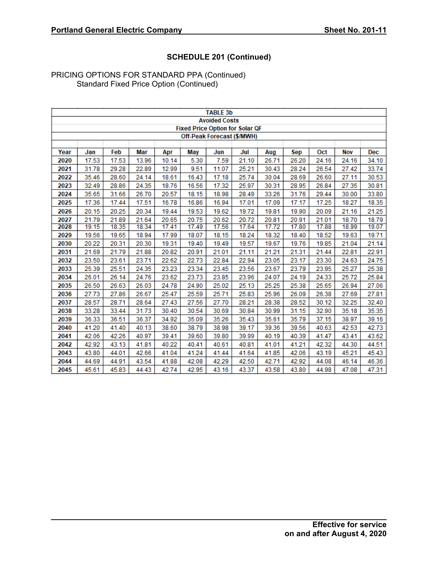|      |       |       |       |       |            | <b>TABLE 3b</b>                        |       |       |       |            |            |            |
|------|-------|-------|-------|-------|------------|----------------------------------------|-------|-------|-------|------------|------------|------------|
|      |       |       |       |       |            | <b>Avoided Costs</b>                   |       |       |       |            |            |            |
|      |       |       |       |       |            | <b>Fixed Price Option for Solar QF</b> |       |       |       |            |            |            |
|      |       |       |       |       |            | Off-Peak Forecast (\$/MWH)             |       |       |       |            |            |            |
|      |       |       |       |       |            |                                        |       |       |       |            |            |            |
| Year | Jan   | Feb   | Mar   | Apr   | <b>May</b> | Jun                                    | Jul   | Aug   | Sep   | <b>Oct</b> | <b>Nov</b> | <b>Dec</b> |
| 2020 | 17.53 | 17.53 | 13.96 | 10.14 | 5.30       | 7.59                                   | 21.10 | 26.71 | 26.20 | 24.16      | 24.16      | 34.10      |
| 2021 | 31.78 | 29.28 | 22.89 | 12.99 | 9.51       | 11.07                                  | 25.21 | 30.43 | 28.24 | 26.54      | 27.42      | 33.74      |
| 2022 | 35.46 | 28.60 | 24.14 | 18.61 | 16.43      | 17.18                                  | 25.74 | 30.04 | 28.69 | 26.60      | 27.11      | 30.53      |
| 2023 | 32.49 | 28.86 | 24.35 | 18.76 | 16.56      | 17.32                                  | 25.97 | 30.31 | 28.95 | 26.84      | 27.35      | 30.81      |
| 2024 | 35.65 | 31.66 | 26.70 | 20.57 | 18.15      | 18.98                                  | 28.49 | 33.26 | 31.76 | 29.44      | 30.00      | 33.80      |
| 2025 | 17.36 | 17.44 | 17.51 | 16.78 | 16.86      | 16.94                                  | 17.01 | 17.09 | 17.17 | 17.25      | 18.27      | 18.35      |
| 2026 | 20.15 | 20.25 | 20.34 | 19.44 | 19.53      | 19.62                                  | 19.72 | 19.81 | 19.90 | 20.09      | 21.16      | 21.25      |
| 2027 | 21.79 | 21.89 | 21.64 | 20.65 | 20.75      | 20.62                                  | 20.72 | 20.81 | 20.91 | 21.01      | 18.70      | 18.79      |
| 2028 | 19.15 | 18.35 | 18.34 | 17.41 | 17.49      | 17.56                                  | 17.64 | 17.72 | 17.80 | 17.88      | 18.99      | 19.07      |
| 2029 | 19.56 | 19.65 | 18.94 | 17.99 | 18.07      | 18.15                                  | 18.24 | 18.32 | 18.40 | 18.52      | 19.63      | 19.71      |
| 2030 | 20.22 | 20.31 | 20.30 | 19.31 | 19.40      | 19.49                                  | 19.57 | 19.67 | 19.76 | 19.85      | 21.04      | 21.14      |
| 2031 | 21.69 | 21.79 | 21.88 | 20.82 | 20.91      | 21.01                                  | 21.11 | 21.21 | 21.31 | 21.44      | 22.81      | 22.91      |
| 2032 | 23.50 | 23.61 | 23.71 | 22.62 | 22.73      | 22.84                                  | 22.94 | 23.05 | 23.17 | 23.30      | 24.63      | 24.75      |
| 2033 | 25.39 | 25.51 | 24.35 | 23.23 | 23.34      | 23.45                                  | 23.56 | 23.67 | 23.79 | 23.95      | 25.27      | 25.38      |
| 2034 | 26.01 | 26.14 | 24.76 | 23.62 | 23.73      | 23.85                                  | 23.96 | 24.07 | 24.19 | 24.33      | 25.72      | 25.84      |
| 2035 | 26.50 | 26.63 | 26.03 | 24.78 | 24.90      | 25.02                                  | 25.13 | 25.25 | 25.38 | 25.65      | 26.94      | 27.06      |
| 2036 | 27.73 | 27.86 | 26.67 | 25.47 | 25.59      | 25.71                                  | 25.83 | 25.96 | 26.09 | 26.38      | 27.69      | 27.81      |
| 2037 | 28.57 | 28.71 | 28.64 | 27.43 | 27.56      | 27.70                                  | 28.21 | 28.38 | 28.52 | 30.12      | 32.25      | 32.40      |
| 2038 | 33.28 | 33.44 | 31.73 | 30.40 | 30.54      | 30.69                                  | 30.84 | 30.99 | 31.15 | 32.90      | 35.18      | 35.35      |
| 2039 | 36.33 | 36.51 | 36.37 | 34.92 | 35.09      | 35.26                                  | 35.43 | 35.61 | 35.79 | 37.15      | 38.97      | 39.16      |
| 2040 | 41.20 | 41.40 | 40.13 | 38.60 | 38.79      | 38.98                                  | 39.17 | 39.36 | 39.56 | 40.63      | 42.53      | 42.73      |
| 2041 | 42.06 | 42.26 | 40.97 | 39.41 | 39.60      | 39.80                                  | 39.99 | 40.19 | 40.39 | 41.47      | 43.41      | 43.62      |
| 2042 | 42.92 | 43.13 | 41.81 | 40.22 | 40.41      | 40.61                                  | 40.81 | 41.01 | 41.21 | 42.32      | 44.30      | 44.51      |
| 2043 | 43.80 | 44.01 | 42.66 | 41.04 | 41.24      | 41.44                                  | 41.64 | 41.85 | 42.06 | 43.19      | 45.21      | 45.43      |
| 2044 | 44.69 | 44.91 | 43.54 | 41.88 | 42.08      | 42.29                                  | 42.50 | 42.71 | 42.92 | 44.08      | 46.14      | 46.36      |
| 2045 | 45.61 | 45.83 | 44.43 | 42.74 | 42.95      | 43.16                                  | 43.37 | 43.58 | 43.80 | 44.98      | 47.08      | 47.31      |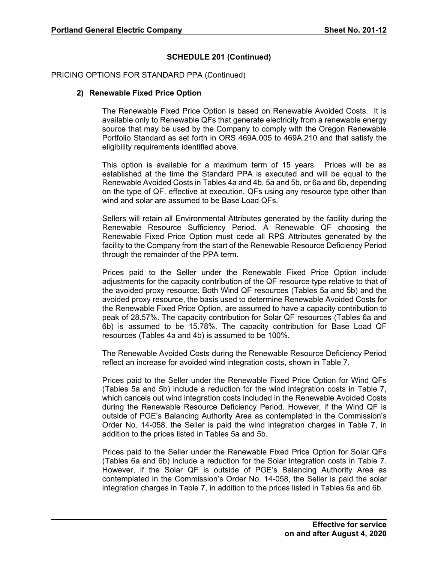### PRICING OPTIONS FOR STANDARD PPA (Continued)

### **2) Renewable Fixed Price Option**

The Renewable Fixed Price Option is based on Renewable Avoided Costs. It is available only to Renewable QFs that generate electricity from a renewable energy source that may be used by the Company to comply with the Oregon Renewable Portfolio Standard as set forth in ORS 469A.005 to 469A.210 and that satisfy the eligibility requirements identified above.

This option is available for a maximum term of 15 years. Prices will be as established at the time the Standard PPA is executed and will be equal to the Renewable Avoided Costs in Tables 4a and 4b, 5a and 5b, or 6a and 6b, depending on the type of QF, effective at execution. QFs using any resource type other than wind and solar are assumed to be Base Load QFs.

Sellers will retain all Environmental Attributes generated by the facility during the Renewable Resource Sufficiency Period. A Renewable QF choosing the Renewable Fixed Price Option must cede all RPS Attributes generated by the facility to the Company from the start of the Renewable Resource Deficiency Period through the remainder of the PPA term.

Prices paid to the Seller under the Renewable Fixed Price Option include adjustments for the capacity contribution of the QF resource type relative to that of the avoided proxy resource. Both Wind QF resources (Tables 5a and 5b) and the avoided proxy resource, the basis used to determine Renewable Avoided Costs for the Renewable Fixed Price Option, are assumed to have a capacity contribution to peak of 28.57%. The capacity contribution for Solar QF resources (Tables 6a and 6b) is assumed to be 15.78%. The capacity contribution for Base Load QF resources (Tables 4a and 4b) is assumed to be 100%.

The Renewable Avoided Costs during the Renewable Resource Deficiency Period reflect an increase for avoided wind integration costs, shown in Table 7.

Prices paid to the Seller under the Renewable Fixed Price Option for Wind QFs (Tables 5a and 5b) include a reduction for the wind integration costs in Table 7, which cancels out wind integration costs included in the Renewable Avoided Costs during the Renewable Resource Deficiency Period. However, if the Wind QF is outside of PGE's Balancing Authority Area as contemplated in the Commission's Order No. 14-058, the Seller is paid the wind integration charges in Table 7, in addition to the prices listed in Tables 5a and 5b.

Prices paid to the Seller under the Renewable Fixed Price Option for Solar QFs (Tables 6a and 6b) include a reduction for the Solar integration costs in Table 7. However, if the Solar QF is outside of PGE's Balancing Authority Area as contemplated in the Commission's Order No. 14-058, the Seller is paid the solar integration charges in Table 7, in addition to the prices listed in Tables 6a and 6b.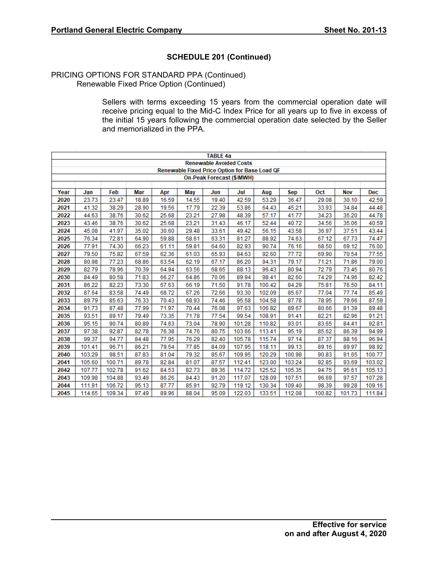### PRICING OPTIONS FOR STANDARD PPA (Continued) Renewable Fixed Price Option (Continued)

Sellers with terms exceeding 15 years from the commercial operation date will receive pricing equal to the Mid-C Index Price for all years up to five in excess of the initial 15 years following the commercial operation date selected by the Seller and memorialized in the PPA.

|                                                                                                                  |        |        |       |       |                                               | <b>TABLE 4a</b>                |                                  |        |        |        |        |            |  |
|------------------------------------------------------------------------------------------------------------------|--------|--------|-------|-------|-----------------------------------------------|--------------------------------|----------------------------------|--------|--------|--------|--------|------------|--|
|                                                                                                                  |        |        |       |       |                                               | <b>Renewable Avoided Costs</b> |                                  |        |        |        |        |            |  |
|                                                                                                                  |        |        |       |       | Renewable Fixed Price Option for Base Load QF |                                |                                  |        |        |        |        |            |  |
|                                                                                                                  |        |        |       |       |                                               |                                | <b>On-Peak Forecast (\$/MWH)</b> |        |        |        |        |            |  |
|                                                                                                                  |        |        |       |       |                                               |                                |                                  |        |        |        |        |            |  |
| Year                                                                                                             | Jan    | Feb    | Mar   | Apr   | May                                           | Jun                            | Jul                              | Aug    | Sep    | Oct    | Nov    | <b>Dec</b> |  |
| 2020                                                                                                             | 23.73  | 23.47  | 18.89 | 16.59 | 14.55                                         | 19.40                          | 42.59                            | 53.29  | 36.47  | 29.08  | 30.10  | 42.59      |  |
| 2021                                                                                                             | 41.32  | 38.29  | 28.90 | 19.56 | 17.79                                         | 22.39                          | 53.86                            | 64.43  | 45.21  | 33.93  | 34.84  | 44.48      |  |
| 2022                                                                                                             | 44.63  | 38.76  | 30.62 | 25.68 | 23.21                                         | 27.98                          | 48.39                            | 57.17  | 41.77  | 34.23  | 35.20  | 44.78      |  |
| 2023                                                                                                             | 43.46  | 38.76  | 30.62 | 25.68 | 23.21                                         | 31.43                          | 46.17                            | 52.44  | 40.72  | 34.56  | 35.06  | 40.59      |  |
| 2024<br>45.08<br>35.02<br>30.60<br>29.48<br>33.61<br>49.42<br>43.58<br>36.97<br>37.51<br>43.44<br>41.97<br>56.15 |        |        |       |       |                                               |                                |                                  |        |        |        |        |            |  |
| 2025<br>76.34<br>72.81<br>59.88<br>58.61<br>63.31<br>88.92<br>74.63<br>67.12<br>64.90<br>81.27<br>67.73<br>74.47 |        |        |       |       |                                               |                                |                                  |        |        |        |        |            |  |
| 2026                                                                                                             | 77.91  | 74.30  | 66.23 | 61.11 | 59.81                                         | 64.60                          | 82.93                            | 90.74  | 76.16  | 68.50  | 69.12  | 76.00      |  |
| 2027                                                                                                             | 79.50  | 75.82  | 67.59 | 62.36 | 61.03                                         | 65.93                          | 84.63                            | 92.60  | 77.72  | 69.90  | 70.54  | 77.55      |  |
| 2028                                                                                                             | 80.98  | 77.23  | 68.86 | 63.54 | 62.19                                         | 67.17                          | 86.20                            | 94.31  | 79.17  | 71.21  | 71.86  | 79.00      |  |
| 2029                                                                                                             | 82.79  | 78.96  | 70.39 | 64.94 | 63.56                                         | 68.65                          | 88.13                            | 96.43  | 80.94  | 72.79  | 73.45  | 80.76      |  |
| 2030                                                                                                             | 84.49  | 80.58  | 71.83 | 66.27 | 64.86                                         | 70.06                          | 89.94                            | 98.41  | 82.60  | 74.29  | 74.96  | 82.42      |  |
| 2031                                                                                                             | 86.22  | 82.23  | 73.30 | 67.63 | 66.19                                         | 71.50                          | 91.78                            | 100.42 | 84.29  | 75.81  | 76.50  | 84.11      |  |
| 2032                                                                                                             | 87.64  | 83.58  | 74.49 | 68.72 | 67.26                                         | 72.66                          | 93.30                            | 102.09 | 85.67  | 77.04  | 77.74  | 85.49      |  |
| 2033                                                                                                             | 89.79  | 85.63  | 76.33 | 70.43 | 68.93                                         | 74.46                          | 95.58                            | 104.58 | 87.78  | 78.95  | 79.66  | 87.59      |  |
| 2034                                                                                                             | 91.73  | 87.48  | 77.99 | 71.97 | 70.44                                         | 76.08                          | 97.63                            | 106.82 | 89.67  | 80.66  | 81.39  | 89.48      |  |
| 2035                                                                                                             | 93.51  | 89.17  | 79.49 | 73.35 | 71.78                                         | 77.54                          | 99.54                            | 108.91 | 91.41  | 82.21  | 82.96  | 91.21      |  |
| 2036                                                                                                             | 95.15  | 90.74  | 80.89 | 74.63 | 73.04                                         | 78.90                          | 101.28                           | 110.82 | 93.01  | 83.65  | 84.41  | 92.81      |  |
| 2037                                                                                                             | 97.38  | 92.87  | 82.78 | 76.38 | 74.76                                         | 80.75                          | 103.66                           | 113.41 | 95.19  | 85.62  | 86.39  | 94.99      |  |
| 2038                                                                                                             | 99.37  | 94.77  | 84.48 | 77.95 | 76.29                                         | 82.40                          | 105.78                           | 115.74 | 97.14  | 87.37  | 88.16  | 96.94      |  |
| 2039                                                                                                             | 101.41 | 96.71  | 86.21 | 79.54 | 77.85                                         | 84.09                          | 107.95                           | 118.11 | 99.13  | 89.16  | 89.97  | 98.92      |  |
| 2040                                                                                                             | 103.29 | 98.51  | 87.83 | 81.04 | 79.32                                         | 85.67                          | 109.95                           | 120.29 | 100.98 | 90.83  | 91.65  | 100.77     |  |
| 2041                                                                                                             | 105.60 | 100.71 | 89.78 | 82.84 | 81.07                                         | 87.57                          | 112.41                           | 123.00 | 103.24 | 92.85  | 93.69  | 103.02     |  |
| 2042                                                                                                             | 107.77 | 102.78 | 91.62 | 84.53 | 82.73                                         | 89.36                          | 114.72                           | 125.52 | 105.35 | 94.75  | 95.61  | 105.13     |  |
| 2043                                                                                                             | 109.98 | 104.88 | 93.49 | 86.26 | 84.43                                         | 91.20                          | 117.07                           | 128.09 | 107.51 | 96.69  | 97.57  | 107.28     |  |
| 2044                                                                                                             | 111.91 | 106.72 | 95.13 | 87.77 | 85.91                                         | 92.79                          | 119.12                           | 130.34 | 109.40 | 98.39  | 99.28  | 109.16     |  |
| 2045                                                                                                             | 114.65 | 109.34 | 97.49 | 89.96 | 88.04                                         | 95.09                          | 122.03                           | 133.51 | 112.08 | 100.82 | 101.73 | 111.84     |  |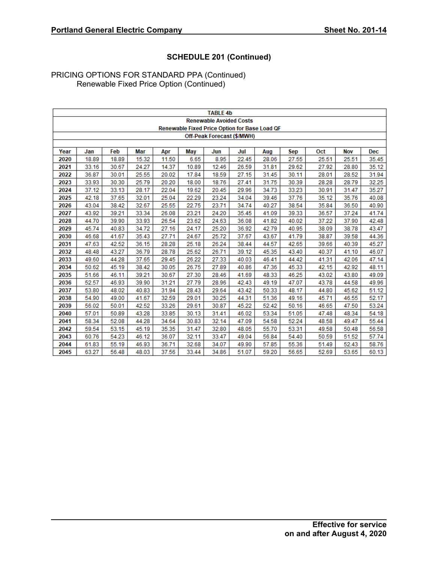|      |       |       |       |       |       | <b>TABLE 4b</b>                |                            |                                               |       |       |            |            |
|------|-------|-------|-------|-------|-------|--------------------------------|----------------------------|-----------------------------------------------|-------|-------|------------|------------|
|      |       |       |       |       |       | <b>Renewable Avoided Costs</b> |                            |                                               |       |       |            |            |
|      |       |       |       |       |       |                                |                            | Renewable Fixed Price Option for Base Load QF |       |       |            |            |
|      |       |       |       |       |       |                                | Off-Peak Forecast (\$/MWH) |                                               |       |       |            |            |
|      |       |       |       |       |       |                                |                            |                                               |       |       |            |            |
| Year | Jan   | Feb   | Mar   | Apr   | May   | Jun                            | Jul                        | Aug                                           | Sep   | Oct   | <b>Nov</b> | <b>Dec</b> |
| 2020 | 18.89 | 18.89 | 15.32 | 11.50 | 6.65  | 8.95                           | 22.45                      | 28.06                                         | 27.55 | 25.51 | 25.51      | 35.45      |
| 2021 | 33.16 | 30.67 | 24.27 | 14.37 | 10.89 | 12.46                          | 26.59                      | 31.81                                         | 29.62 | 27.92 | 28.80      | 35.12      |
| 2022 | 36.87 | 30.01 | 25.55 | 20.02 | 17.84 | 18.59                          | 27.15                      | 31.45                                         | 30.11 | 28.01 | 28.52      | 31.94      |
| 2023 | 33.93 | 30.30 | 25.79 | 20.20 | 18.00 | 18.76                          | 27.41                      | 31.75                                         | 30.39 | 28.28 | 28.79      | 32.25      |
| 2024 | 37.12 | 33.13 | 28.17 | 22.04 | 19.62 | 20.45                          | 29.96                      | 34.73                                         | 33.23 | 30.91 | 31.47      | 35.27      |
| 2025 | 42.18 | 37.65 | 32.01 | 25.04 | 22.29 | 23.24                          | 34.04                      | 39.46                                         | 37.76 | 35.12 | 35.76      | 40.08      |
| 2026 | 43.04 | 38.42 | 32.67 | 25.55 | 22.75 | 23.71                          | 34.74                      | 40.27                                         | 38.54 | 35.84 | 36.50      | 40.90      |
| 2027 | 43.92 | 39.21 | 33.34 | 26.08 | 23.21 | 24.20                          | 35.45                      | 41.09                                         | 39.33 | 36.57 | 37.24      | 41.74      |
| 2028 | 44.70 | 39.90 | 33.93 | 26.54 | 23.62 | 24.63                          | 36.08                      | 41.82                                         | 40.02 | 37.22 | 37.90      | 42.48      |
| 2029 | 45.74 | 40.83 | 34.72 | 27.16 | 24.17 | 25.20                          | 36.92                      | 42.79                                         | 40.95 | 38.09 | 38.78      | 43.47      |
| 2030 | 46.68 | 41.67 | 35.43 | 27.71 | 24.67 | 25.72                          | 37.67                      | 43.67                                         | 41.79 | 38.87 | 39.58      | 44.36      |
| 2031 | 47.63 | 42.52 | 36.15 | 28.28 | 25.18 | 26.24                          | 38.44                      | 44.57                                         | 42.65 | 39.66 | 40.39      | 45.27      |
| 2032 | 48.48 | 43.27 | 36.79 | 28.78 | 25.62 | 26.71                          | 39.12                      | 45.35                                         | 43.40 | 40.37 | 41.10      | 46.07      |
| 2033 | 49.60 | 44.28 | 37.65 | 29.45 | 26.22 | 27.33                          | 40.03                      | 46.41                                         | 44.42 | 41.31 | 42.06      | 47.14      |
| 2034 | 50.62 | 45.19 | 38.42 | 30.05 | 26.75 | 27.89                          | 40.86                      | 47.36                                         | 45.33 | 42.15 | 42.92      | 48.11      |
| 2035 | 51.66 | 46.11 | 39.21 | 30.67 | 27.30 | 28.46                          | 41.69                      | 48.33                                         | 46.25 | 43.02 | 43.80      | 49.09      |
| 2036 | 52.57 | 46.93 | 39.90 | 31.21 | 27.79 | 28.96                          | 42.43                      | 49.19                                         | 47.07 | 43.78 | 44.58      | 49.96      |
| 2037 | 53.80 | 48.02 | 40.83 | 31.94 | 28.43 | 29.64                          | 43.42                      | 50.33                                         | 48.17 | 44.80 | 45.62      | 51.12      |
| 2038 | 54.90 | 49.00 | 41.67 | 32.59 | 29.01 | 30.25                          | 44.31                      | 51.36                                         | 49.16 | 45.71 | 46.55      | 52.17      |
| 2039 | 56.02 | 50.01 | 42.52 | 33.26 | 29.61 | 30.87                          | 45.22                      | 52.42                                         | 50.16 | 46.65 | 47.50      | 53.24      |
| 2040 | 57.01 | 50.89 | 43.28 | 33.85 | 30.13 | 31.41                          | 46.02                      | 53.34                                         | 51.05 | 47.48 | 48.34      | 54.18      |
| 2041 | 58.34 | 52.08 | 44.28 | 34.64 | 30.83 | 32.14                          | 47.09                      | 54.58                                         | 52.24 | 48.58 | 49.47      | 55.44      |
| 2042 | 59.54 | 53.15 | 45.19 | 35.35 | 31.47 | 32.80                          | 48.05                      | 55.70                                         | 53.31 | 49.58 | 50.48      | 56.58      |
| 2043 | 60.76 | 54.23 | 46.12 | 36.07 | 32.11 | 33.47                          | 49.04                      | 56.84                                         | 54.40 | 50.59 | 51.52      | 57.74      |
| 2044 | 61.83 | 55.19 | 46.93 | 36.71 | 32.68 | 34.07                          | 49.90                      | 57.85                                         | 55.36 | 51.49 | 52.43      | 58.76      |
| 2045 | 63.27 | 56.48 | 48.03 | 37.56 | 33.44 | 34.86                          | 51.07                      | 59.20                                         | 56.65 | 52.69 | 53.65      | 60.13      |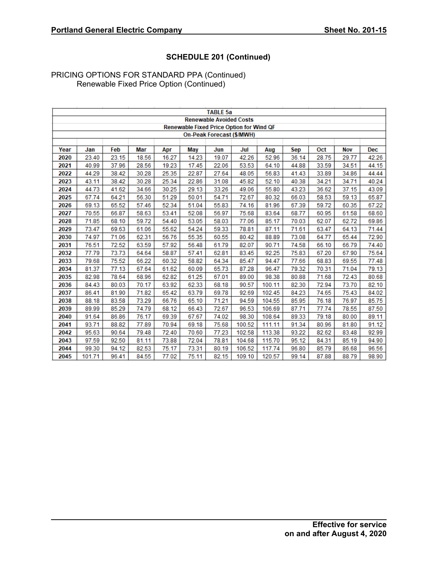|      |        |       |       |       |       | <b>TABLE 5a</b>                                 |        |        |       |       |            |            |
|------|--------|-------|-------|-------|-------|-------------------------------------------------|--------|--------|-------|-------|------------|------------|
|      |        |       |       |       |       | <b>Renewable Avoided Costs</b>                  |        |        |       |       |            |            |
|      |        |       |       |       |       | <b>Renewable Fixed Price Option for Wind QF</b> |        |        |       |       |            |            |
|      |        |       |       |       |       | <b>On-Peak Forecast (\$/MWH)</b>                |        |        |       |       |            |            |
|      |        |       |       |       |       |                                                 |        |        |       |       |            |            |
| Year | Jan    | Feb   | Mar   | Apr   | May   | Jun                                             | Jul    | Aug    | Sep   | Oct   | <b>Nov</b> | <b>Dec</b> |
| 2020 | 23.40  | 23.15 | 18.56 | 16.27 | 14.23 | 19.07                                           | 42.26  | 52.96  | 36.14 | 28.75 | 29.77      | 42.26      |
| 2021 | 40.99  | 37.96 | 28.56 | 19.23 | 17.45 | 22.06                                           | 53.53  | 64.10  | 44.88 | 33.59 | 34.51      | 44.15      |
| 2022 | 44.29  | 38.42 | 30.28 | 25.35 | 22.87 | 27.64                                           | 48.05  | 56.83  | 41.43 | 33.89 | 34.86      | 44.44      |
| 2023 | 43.11  | 38.42 | 30.28 | 25.34 | 22.86 | 31.08                                           | 45.82  | 52.10  | 40.38 | 34.21 | 34.71      | 40.24      |
| 2024 | 44.73  | 41.62 | 34.66 | 30.25 | 29.13 | 33.26                                           | 49.06  | 55.80  | 43.23 | 36.62 | 37.15      | 43.09      |
| 2025 | 67.74  | 64.21 | 56.30 | 51.29 | 50.01 | 54.71                                           | 72.67  | 80.32  | 66.03 | 58.53 | 59.13      | 65.87      |
| 2026 | 69.13  | 65.52 | 57.46 | 52.34 | 51.04 | 55.83                                           | 74.16  | 81.96  | 67.39 | 59.72 | 60.35      | 67.22      |
| 2027 | 70.55  | 66.87 | 58.63 | 53.41 | 52.08 | 56.97                                           | 75.68  | 83.64  | 68.77 | 60.95 | 61.58      | 68.60      |
| 2028 | 71.85  | 68.10 | 59.72 | 54.40 | 53.05 | 58.03                                           | 77.06  | 85.17  | 70.03 | 62.07 | 62.72      | 69.86      |
| 2029 | 73.47  | 69.63 | 61.06 | 55.62 | 54.24 | 59.33                                           | 78.81  | 87.11  | 71.61 | 63.47 | 64.13      | 71.44      |
| 2030 | 74.97  | 71.06 | 62.31 | 56.76 | 55.35 | 60.55                                           | 80.42  | 88.89  | 73.08 | 64.77 | 65.44      | 72.90      |
| 2031 | 76.51  | 72.52 | 63.59 | 57.92 | 56.48 | 61.79                                           | 82.07  | 90.71  | 74.58 | 66.10 | 66.79      | 74.40      |
| 2032 | 77.79  | 73.73 | 64.64 | 58.87 | 57.41 | 62.81                                           | 83.45  | 92.25  | 75.83 | 67.20 | 67.90      | 75.64      |
| 2033 | 79.68  | 75.52 | 66.22 | 60.32 | 58.82 | 64.34                                           | 85.47  | 94.47  | 77.66 | 68.83 | 69.55      | 77.48      |
| 2034 | 81.37  | 77.13 | 67.64 | 61.62 | 60.09 | 65.73                                           | 87.28  | 96.47  | 79.32 | 70.31 | 71.04      | 79.13      |
| 2035 | 82.98  | 78.64 | 68.96 | 62.82 | 61.25 | 67.01                                           | 89.00  | 98.38  | 80.88 | 71.68 | 72.43      | 80.68      |
| 2036 | 84.43  | 80.03 | 70.17 | 63.92 | 62.33 | 68.18                                           | 90.57  | 100.11 | 82.30 | 72.94 | 73.70      | 82.10      |
| 2037 | 86.41  | 81.90 | 71.82 | 65.42 | 63.79 | 69.78                                           | 92.69  | 102.45 | 84.23 | 74.65 | 75.43      | 84.02      |
| 2038 | 88.18  | 83.58 | 73.29 | 66.76 | 65.10 | 71.21                                           | 94.59  | 104.55 | 85.95 | 76.18 | 76.97      | 85.75      |
| 2039 | 89.99  | 85.29 | 74.79 | 68.12 | 66.43 | 72.67                                           | 96.53  | 106.69 | 87.71 | 77.74 | 78.55      | 87.50      |
| 2040 | 91.64  | 86.86 | 76.17 | 69.39 | 67.67 | 74.02                                           | 98.30  | 108.64 | 89.33 | 79.18 | 80.00      | 89.11      |
| 2041 | 93.71  | 88.82 | 77.89 | 70.94 | 69.18 | 75.68                                           | 100.52 | 111.11 | 91.34 | 80.96 | 81.80      | 91.12      |
| 2042 | 95.63  | 90.64 | 79.48 | 72.40 | 70.60 | 77.23                                           | 102.58 | 113.38 | 93.22 | 82.62 | 83.48      | 92.99      |
| 2043 | 97.59  | 92.50 | 81.11 | 73.88 | 72.04 | 78.81                                           | 104.68 | 115.70 | 95.12 | 84.31 | 85.19      | 94.90      |
| 2044 | 99.30  | 94.12 | 82.53 | 75.17 | 73.31 | 80.19                                           | 106.52 | 117.74 | 96.80 | 85.79 | 86.68      | 96.56      |
| 2045 | 101.71 | 96.41 | 84.55 | 77.02 | 75.11 | 82.15                                           | 109.10 | 120.57 | 99.14 | 87.88 | 88.79      | 98.90      |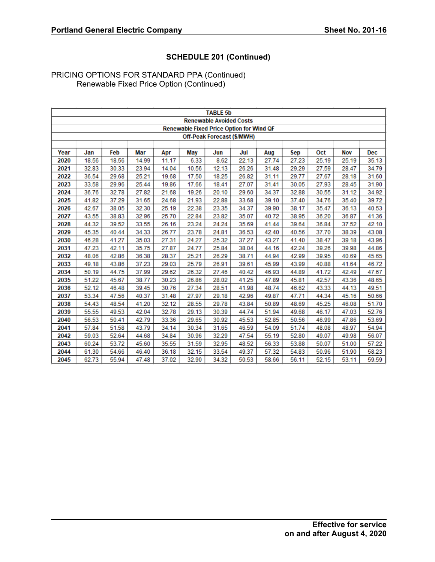|      |       |       |       |       |       | <b>TABLE 5b</b>                                 |       |       |       |       |            |            |
|------|-------|-------|-------|-------|-------|-------------------------------------------------|-------|-------|-------|-------|------------|------------|
|      |       |       |       |       |       | <b>Renewable Avoided Costs</b>                  |       |       |       |       |            |            |
|      |       |       |       |       |       | <b>Renewable Fixed Price Option for Wind QF</b> |       |       |       |       |            |            |
|      |       |       |       |       |       | Off-Peak Forecast (\$/MWH)                      |       |       |       |       |            |            |
|      |       |       |       |       |       |                                                 |       |       |       |       |            |            |
| Year | Jan   | Feb   | Mar   | Apr   | May   | Jun                                             | Jul   | Aug   | Sep   | Oct   | <b>Nov</b> | <b>Dec</b> |
| 2020 | 18.56 | 18.56 | 14.99 | 11.17 | 6.33  | 8.62                                            | 22.13 | 27.74 | 27.23 | 25.19 | 25.19      | 35.13      |
| 2021 | 32.83 | 30.33 | 23.94 | 14.04 | 10.56 | 12.13                                           | 26.26 | 31.48 | 29.29 | 27.59 | 28.47      | 34.79      |
| 2022 | 36.54 | 29.68 | 25.21 | 19.68 | 17.50 | 18.25                                           | 26.82 | 31.11 | 29.77 | 27.67 | 28.18      | 31.60      |
| 2023 | 33.58 | 29.96 | 25.44 | 19.86 | 17.66 | 18.41                                           | 27.07 | 31.41 | 30.05 | 27.93 | 28.45      | 31.90      |
| 2024 | 36.76 | 32.78 | 27.82 | 21.68 | 19.26 | 20.10                                           | 29.60 | 34.37 | 32.88 | 30.55 | 31.12      | 34.92      |
| 2025 | 41.82 | 37.29 | 31.65 | 24.68 | 21.93 | 22.88                                           | 33.68 | 39.10 | 37.40 | 34.76 | 35.40      | 39.72      |
| 2026 | 42.67 | 38.05 | 32.30 | 25.19 | 22.38 | 23.35                                           | 34.37 | 39.90 | 38.17 | 35.47 | 36.13      | 40.53      |
| 2027 | 43.55 | 38.83 | 32.96 | 25.70 | 22.84 | 23.82                                           | 35.07 | 40.72 | 38.95 | 36.20 | 36.87      | 41.36      |
| 2028 | 44.32 | 39.52 | 33.55 | 26.16 | 23.24 | 24.24                                           | 35.69 | 41.44 | 39.64 | 36.84 | 37.52      | 42.10      |
| 2029 | 45.35 | 40.44 | 34.33 | 26.77 | 23.78 | 24.81                                           | 36.53 | 42.40 | 40.56 | 37.70 | 38.39      | 43.08      |
| 2030 | 46.28 | 41.27 | 35.03 | 27.31 | 24.27 | 25.32                                           | 37.27 | 43.27 | 41.40 | 38.47 | 39.18      | 43.96      |
| 2031 | 47.23 | 42.11 | 35.75 | 27.87 | 24.77 | 25.84                                           | 38.04 | 44.16 | 42.24 | 39.26 | 39.98      | 44.86      |
| 2032 | 48.06 | 42.86 | 36.38 | 28.37 | 25.21 | 26.29                                           | 38.71 | 44.94 | 42.99 | 39.95 | 40.69      | 45.65      |
| 2033 | 49.18 | 43.86 | 37.23 | 29.03 | 25.79 | 26.91                                           | 39.61 | 45.99 | 43.99 | 40.88 | 41.64      | 46.72      |
| 2034 | 50.19 | 44.75 | 37.99 | 29.62 | 26.32 | 27.46                                           | 40.42 | 46.93 | 44.89 | 41.72 | 42.49      | 47.67      |
| 2035 | 51.22 | 45.67 | 38.77 | 30.23 | 26.86 | 28.02                                           | 41.25 | 47.89 | 45.81 | 42.57 | 43.36      | 48.65      |
| 2036 | 52.12 | 46.48 | 39.45 | 30.76 | 27.34 | 28.51                                           | 41.98 | 48.74 | 46.62 | 43.33 | 44.13      | 49.51      |
| 2037 | 53.34 | 47.56 | 40.37 | 31.48 | 27.97 | 29.18                                           | 42.96 | 49.87 | 47.71 | 44.34 | 45.16      | 50.66      |
| 2038 | 54.43 | 48.54 | 41.20 | 32.12 | 28.55 | 29.78                                           | 43.84 | 50.89 | 48.69 | 45.25 | 46.08      | 51.70      |
| 2039 | 55.55 | 49.53 | 42.04 | 32.78 | 29.13 | 30.39                                           | 44.74 | 51.94 | 49.68 | 46.17 | 47.03      | 52.76      |
| 2040 | 56.53 | 50.41 | 42.79 | 33.36 | 29.65 | 30.92                                           | 45.53 | 52.85 | 50.56 | 46.99 | 47.86      | 53.69      |
| 2041 | 57.84 | 51.58 | 43.79 | 34.14 | 30.34 | 31.65                                           | 46.59 | 54.09 | 51.74 | 48.08 | 48.97      | 54.94      |
| 2042 | 59.03 | 52.64 | 44.68 | 34.84 | 30.96 | 32.29                                           | 47.54 | 55.19 | 52.80 | 49.07 | 49.98      | 56.07      |
| 2043 | 60.24 | 53.72 | 45.60 | 35.55 | 31.59 | 32.95                                           | 48.52 | 56.33 | 53.88 | 50.07 | 51.00      | 57.22      |
| 2044 | 61.30 | 54.66 | 46.40 | 36.18 | 32.15 | 33.54                                           | 49.37 | 57.32 | 54.83 | 50.96 | 51.90      | 58.23      |
| 2045 | 62.73 | 55.94 | 47.48 | 37.02 | 32.90 | 34.32                                           | 50.53 | 58.66 | 56.11 | 52.15 | 53.11      | 59.59      |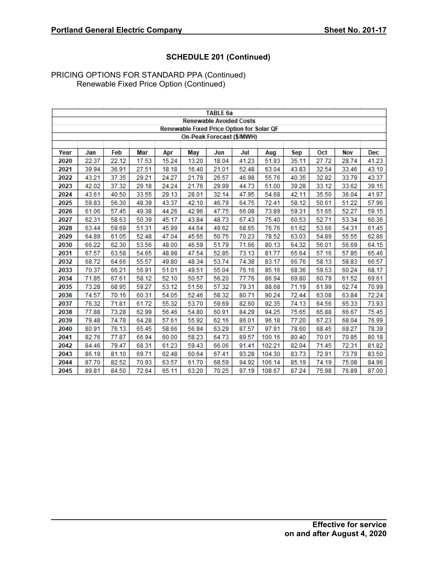|      |       |       |       |       |       | <b>TABLE 6a</b>                                  |       |        |            |       |            |            |
|------|-------|-------|-------|-------|-------|--------------------------------------------------|-------|--------|------------|-------|------------|------------|
|      |       |       |       |       |       | <b>Renewable Avoided Costs</b>                   |       |        |            |       |            |            |
|      |       |       |       |       |       | <b>Renewable Fixed Price Option for Solar QF</b> |       |        |            |       |            |            |
|      |       |       |       |       |       | On-Peak Forecast (\$/MWH)                        |       |        |            |       |            |            |
|      |       |       |       |       |       |                                                  |       |        |            |       |            |            |
| Year | Jan   | Feb   | Mar   | Apr   | May   | Jun                                              | Jul   | Aug    | <b>Sep</b> | Oct   | <b>Nov</b> | <b>Dec</b> |
| 2020 | 22.37 | 22.12 | 17.53 | 15.24 | 13.20 | 18.04                                            | 41.23 | 51.93  | 35.11      | 27.72 | 28.74      | 41.23      |
| 2021 | 39.94 | 36.91 | 27.51 | 18.18 | 16.40 | 21.01                                            | 52.48 | 63.04  | 43.83      | 32.54 | 33.46      | 43.10      |
| 2022 | 43.21 | 37.35 | 29.21 | 24.27 | 21.79 | 26.57                                            | 46.98 | 55.76  | 40.35      | 32.82 | 33.79      | 43.37      |
| 2023 | 42.02 | 37.32 | 29.18 | 24.24 | 21.76 | 29.99                                            | 44.73 | 51.00  | 39.28      | 33.12 | 33.62      | 39.15      |
| 2024 | 43.61 | 40.50 | 33.55 | 29.13 | 28.01 | 32.14                                            | 47.95 | 54.68  | 42.11      | 35.50 | 36.04      | 41.97      |
| 2025 | 59.83 | 56.30 | 48.39 | 43.37 | 42.10 | 46.79                                            | 64.75 | 72.41  | 58.12      | 50.61 | 51.22      | 57.96      |
| 2026 | 61.06 | 57.45 | 49.38 | 44.26 | 42.96 | 47.75                                            | 66.08 | 73.89  | 59.31      | 51.65 | 52.27      | 59.15      |
| 2027 | 62.31 | 58.63 | 50.39 | 45.17 | 43.84 | 48.73                                            | 67.43 | 75.40  | 60.53      | 52.71 | 53.34      | 60.36      |
| 2028 | 63.44 | 59.69 | 51.31 | 45.99 | 44.64 | 49.62                                            | 68.65 | 76.76  | 61.62      | 53.66 | 54.31      | 61.45      |
| 2029 | 64.89 | 61.05 | 52.48 | 47.04 | 45.65 | 50.75                                            | 70.23 | 78.52  | 63.03      | 54.89 | 55.55      | 62.86      |
| 2030 | 66.22 | 62.30 | 53.56 | 48.00 | 46.59 | 51.79                                            | 71.66 | 80.13  | 64.32      | 56.01 | 56.69      | 64.15      |
| 2031 | 67.57 | 63.58 | 54.65 | 48.98 | 47.54 | 52.85                                            | 73.13 | 81.77  | 65.64      | 57.16 | 57.85      | 65.46      |
| 2032 | 68.72 | 64.66 | 55.57 | 49.80 | 48.34 | 53.74                                            | 74.38 | 83.17  | 66.76      | 58.13 | 58.83      | 66.57      |
| 2033 | 70.37 | 66.21 | 56.91 | 51.01 | 49.51 | 55.04                                            | 76.16 | 85.16  | 68.36      | 59.53 | 60.24      | 68.17      |
| 2034 | 71.85 | 67.61 | 58.12 | 52.10 | 50.57 | 56.20                                            | 77.76 | 86.94  | 69.80      | 60.79 | 61.52      | 69.61      |
| 2035 | 73.28 | 68.95 | 59.27 | 53.12 | 51.56 | 57.32                                            | 79.31 | 88.68  | 71.19      | 61.99 | 62.74      | 70.99      |
| 2036 | 74.57 | 70.16 | 60.31 | 54.05 | 52.46 | 58.32                                            | 80.71 | 90.24  | 72.44      | 63.08 | 63.84      | 72.24      |
| 2037 | 76.32 | 71.81 | 61.72 | 55.32 | 53.70 | 59.69                                            | 82.60 | 92.35  | 74.13      | 64.56 | 65.33      | 73.93      |
| 2038 | 77.88 | 73.28 | 62.99 | 56.46 | 54.80 | 60.91                                            | 84.29 | 94.25  | 75.65      | 65.88 | 66.67      | 75.45      |
| 2039 | 79.48 | 74.78 | 64.28 | 57.61 | 55.92 | 62.16                                            | 86.01 | 96.18  | 77.20      | 67.23 | 68.04      | 76.99      |
| 2040 | 80.91 | 76.13 | 65.45 | 58.66 | 56.94 | 63.29                                            | 87.57 | 97.91  | 78.60      | 68.45 | 69.27      | 78.39      |
| 2041 | 82.76 | 77.87 | 66.94 | 60.00 | 58.23 | 64.73                                            | 89.57 | 100.16 | 80.40      | 70.01 | 70.85      | 80.18      |
| 2042 | 84.46 | 79.47 | 68.31 | 61.23 | 59.43 | 66.06                                            | 91.41 | 102.21 | 82.04      | 71.45 | 72.31      | 81.82      |
| 2043 | 86.19 | 81.10 | 69.71 | 62.48 | 60.64 | 67.41                                            | 93.28 | 104.30 | 83.73      | 72.91 | 73.79      | 83.50      |
| 2044 | 87.70 | 82.52 | 70.93 | 63.57 | 61.70 | 68.59                                            | 94.92 | 106.14 | 85.19      | 74.19 | 75.08      | 84.96      |
| 2045 | 89.81 | 84.50 | 72.64 | 65.11 | 63.20 | 70.25                                            | 97.19 | 108.67 | 87.24      | 75.98 | 76.89      | 87.00      |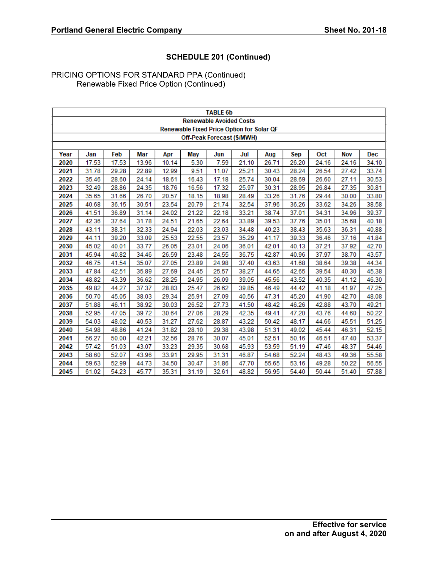|                                                                                                                  |       |       |       |       |            | <b>TABLE 6b</b>                |                                                  |       |            |            |            |       |  |
|------------------------------------------------------------------------------------------------------------------|-------|-------|-------|-------|------------|--------------------------------|--------------------------------------------------|-------|------------|------------|------------|-------|--|
|                                                                                                                  |       |       |       |       |            | <b>Renewable Avoided Costs</b> |                                                  |       |            |            |            |       |  |
|                                                                                                                  |       |       |       |       |            |                                | <b>Renewable Fixed Price Option for Solar QF</b> |       |            |            |            |       |  |
|                                                                                                                  |       |       |       |       |            |                                | Off-Peak Forecast (\$/MWH)                       |       |            |            |            |       |  |
|                                                                                                                  |       |       |       |       |            |                                |                                                  |       |            |            |            |       |  |
| Year                                                                                                             | Jan   | Feb   | Mar   | Apr   | <b>May</b> | Jun                            | Jul                                              | Aug   | <b>Sep</b> | <b>Oct</b> | <b>Nov</b> | Dec   |  |
| 2020                                                                                                             | 17.53 | 17.53 | 13.96 | 10.14 | 5.30       | 7.59                           | 21.10                                            | 26.71 | 26.20      | 24.16      | 24.16      | 34.10 |  |
| 2021                                                                                                             | 31.78 | 29.28 | 22.89 | 12.99 | 9.51       | 11.07                          | 25.21                                            | 30.43 | 28.24      | 26.54      | 27.42      | 33.74 |  |
| 2022                                                                                                             | 35.46 | 28.60 | 24.14 | 18.61 | 16.43      | 17.18                          | 25.74                                            | 30.04 | 28.69      | 26.60      | 27.11      | 30.53 |  |
| 2023                                                                                                             | 32.49 | 28.86 | 24.35 | 18.76 | 16.56      | 17.32                          | 25.97                                            | 30.31 | 28.95      | 26.84      | 27.35      | 30.81 |  |
| 2024                                                                                                             | 35.65 | 31.66 | 26.70 | 20.57 | 18.15      | 18.98                          | 28.49                                            | 33.26 | 31.76      | 29.44      | 30.00      | 33.80 |  |
| 2025<br>40.68<br>36.15<br>30.51<br>23.54<br>20.79<br>21.74<br>32.54<br>37.96<br>36.26<br>33.62<br>34.26<br>38.58 |       |       |       |       |            |                                |                                                  |       |            |            |            |       |  |
| 2026                                                                                                             | 41.51 | 36.89 | 31.14 | 24.02 | 21.22      | 22.18                          | 33.21                                            | 38.74 | 37.01      | 34.31      | 34.96      | 39.37 |  |
| 2027                                                                                                             | 42.36 | 37.64 | 31.78 | 24.51 | 21.65      | 22.64                          | 33.89                                            | 39.53 | 37.76      | 35.01      | 35.68      | 40.18 |  |
| 2028                                                                                                             | 43.11 | 38.31 | 32.33 | 24.94 | 22.03      | 23.03                          | 34.48                                            | 40.23 | 38.43      | 35.63      | 36.31      | 40.88 |  |
| 2029                                                                                                             | 44.11 | 39.20 | 33.09 | 25.53 | 22.55      | 23.57                          | 35.29                                            | 41.17 | 39.33      | 36.46      | 37.16      | 41.84 |  |
| 2030                                                                                                             | 45.02 | 40.01 | 33.77 | 26.05 | 23.01      | 24.06                          | 36.01                                            | 42.01 | 40.13      | 37.21      | 37.92      | 42.70 |  |
| 2031                                                                                                             | 45.94 | 40.82 | 34.46 | 26.59 | 23.48      | 24.55                          | 36.75                                            | 42.87 | 40.96      | 37.97      | 38.70      | 43.57 |  |
| 2032                                                                                                             | 46.75 | 41.54 | 35.07 | 27.05 | 23.89      | 24.98                          | 37.40                                            | 43.63 | 41.68      | 38.64      | 39.38      | 44.34 |  |
| 2033                                                                                                             | 47.84 | 42.51 | 35.89 | 27.69 | 24.45      | 25.57                          | 38.27                                            | 44.65 | 42.65      | 39.54      | 40.30      | 45.38 |  |
| 2034                                                                                                             | 48.82 | 43.39 | 36.62 | 28.25 | 24.95      | 26.09                          | 39.05                                            | 45.56 | 43.52      | 40.35      | 41.12      | 46.30 |  |
| 2035                                                                                                             | 49.82 | 44.27 | 37.37 | 28.83 | 25.47      | 26.62                          | 39.85                                            | 46.49 | 44.42      | 41.18      | 41.97      | 47.25 |  |
| 2036                                                                                                             | 50.70 | 45.05 | 38.03 | 29.34 | 25.91      | 27.09                          | 40.56                                            | 47.31 | 45.20      | 41.90      | 42.70      | 48.08 |  |
| 2037                                                                                                             | 51.88 | 46.11 | 38.92 | 30.03 | 26.52      | 27.73                          | 41.50                                            | 48.42 | 46.26      | 42.88      | 43.70      | 49.21 |  |
| 2038                                                                                                             | 52.95 | 47.05 | 39.72 | 30.64 | 27.06      | 28.29                          | 42.35                                            | 49.41 | 47.20      | 43.76      | 44.60      | 50.22 |  |
| 2039                                                                                                             | 54.03 | 48.02 | 40.53 | 31.27 | 27.62      | 28.87                          | 43.22                                            | 50.42 | 48.17      | 44.66      | 45.51      | 51.25 |  |
| 2040                                                                                                             | 54.98 | 48.86 | 41.24 | 31.82 | 28.10      | 29.38                          | 43.98                                            | 51.31 | 49.02      | 45.44      | 46.31      | 52.15 |  |
| 2041                                                                                                             | 56.27 | 50.00 | 42.21 | 32.56 | 28.76      | 30.07                          | 45.01                                            | 52.51 | 50.16      | 46.51      | 47.40      | 53.37 |  |
| 2042                                                                                                             | 57.42 | 51.03 | 43.07 | 33.23 | 29.35      | 30.68                          | 45.93                                            | 53.59 | 51.19      | 47.46      | 48.37      | 54.46 |  |
| 2043                                                                                                             | 58.60 | 52.07 | 43.96 | 33.91 | 29.95      | 31.31                          | 46.87                                            | 54.68 | 52.24      | 48.43      | 49.36      | 55.58 |  |
| 2044                                                                                                             | 59.63 | 52.99 | 44.73 | 34.50 | 30.47      | 31.86                          | 47.70                                            | 55.65 | 53.16      | 49.28      | 50.22      | 56.55 |  |
| 2045                                                                                                             | 61.02 | 54.23 | 45.77 | 35.31 | 31.19      | 32.61                          | 48.82                                            | 56.95 | 54.40      | 50.44      | 51.40      | 57.88 |  |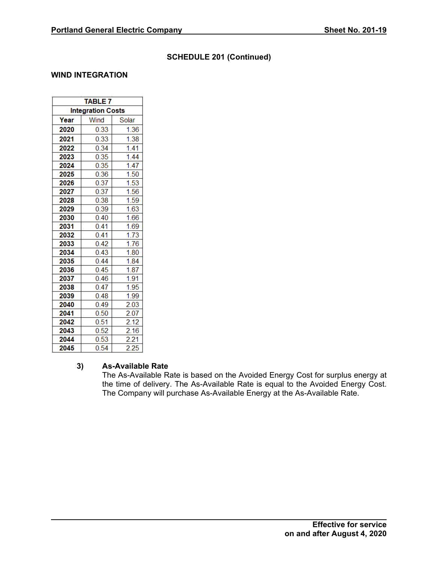## **WIND INTEGRATION**

| <b>TABLE 7</b>           |      |       |
|--------------------------|------|-------|
| <b>Integration Costs</b> |      |       |
| Year                     | Wind | Solar |
| 2020                     | 0.33 | 1.36  |
| 2021                     | 0.33 | 1.38  |
| 2022                     | 0.34 | 1.41  |
| 2023                     | 0.35 | 1.44  |
| 2024                     | 0.35 | 1.47  |
| 2025                     | 0.36 | 1.50  |
| 2026                     | 0.37 | 1.53  |
| 2027                     | 0.37 | 1.56  |
| 2028                     | 0.38 | 1.59  |
| 2029                     | 0.39 | 1.63  |
| 2030                     | 0.40 | 1.66  |
| 2031                     | 0.41 | 1.69  |
| 2032                     | 0.41 | 1.73  |
| 2033                     | 0.42 | 1.76  |
| 2034                     | 0.43 | 1.80  |
| 2035                     | 0.44 | 1.84  |
| 2036                     | 0.45 | 1.87  |
| 2037                     | 0.46 | 1.91  |
| 2038                     | 0.47 | 1.95  |
| 2039                     | 0.48 | 1.99  |
| 2040                     | 0.49 | 2.03  |
| 2041                     | 0.50 | 2.07  |
| 2042                     | 0.51 | 2.12  |
| 2043                     | 0.52 | 2.16  |
| 2044                     | 0.53 | 2.21  |
| 2045                     | 0.54 | 2.25  |

### **3) As-Available Rate**

The As-Available Rate is based on the Avoided Energy Cost for surplus energy at the time of delivery. The As-Available Rate is equal to the Avoided Energy Cost. The Company will purchase As-Available Energy at the As-Available Rate.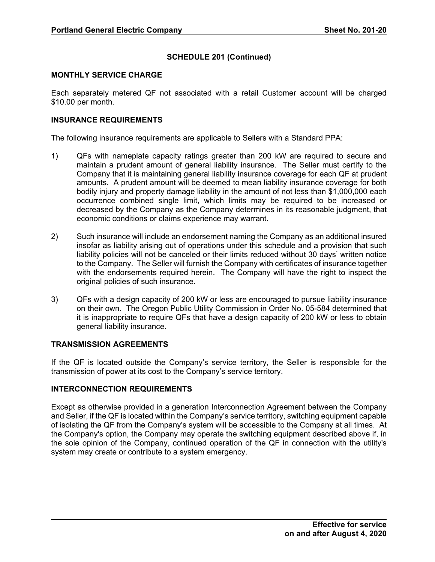### **MONTHLY SERVICE CHARGE**

Each separately metered QF not associated with a retail Customer account will be charged \$10.00 per month.

### **INSURANCE REQUIREMENTS**

The following insurance requirements are applicable to Sellers with a Standard PPA:

- 1) QFs with nameplate capacity ratings greater than 200 kW are required to secure and maintain a prudent amount of general liability insurance. The Seller must certify to the Company that it is maintaining general liability insurance coverage for each QF at prudent amounts. A prudent amount will be deemed to mean liability insurance coverage for both bodily injury and property damage liability in the amount of not less than \$1,000,000 each occurrence combined single limit, which limits may be required to be increased or decreased by the Company as the Company determines in its reasonable judgment, that economic conditions or claims experience may warrant.
- 2) Such insurance will include an endorsement naming the Company as an additional insured insofar as liability arising out of operations under this schedule and a provision that such liability policies will not be canceled or their limits reduced without 30 days' written notice to the Company. The Seller will furnish the Company with certificates of insurance together with the endorsements required herein. The Company will have the right to inspect the original policies of such insurance.
- 3) QFs with a design capacity of 200 kW or less are encouraged to pursue liability insurance on their own. The Oregon Public Utility Commission in Order No. 05-584 determined that it is inappropriate to require QFs that have a design capacity of 200 kW or less to obtain general liability insurance.

### **TRANSMISSION AGREEMENTS**

If the QF is located outside the Company's service territory, the Seller is responsible for the transmission of power at its cost to the Company's service territory.

## **INTERCONNECTION REQUIREMENTS**

Except as otherwise provided in a generation Interconnection Agreement between the Company and Seller, if the QF is located within the Company's service territory, switching equipment capable of isolating the QF from the Company's system will be accessible to the Company at all times. At the Company's option, the Company may operate the switching equipment described above if, in the sole opinion of the Company, continued operation of the QF in connection with the utility's system may create or contribute to a system emergency.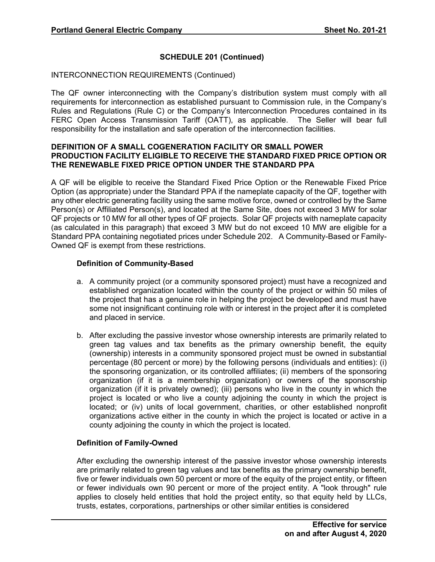### INTERCONNECTION REQUIREMENTS (Continued)

The QF owner interconnecting with the Company's distribution system must comply with all requirements for interconnection as established pursuant to Commission rule, in the Company's Rules and Regulations (Rule C) or the Company's Interconnection Procedures contained in its FERC Open Access Transmission Tariff (OATT), as applicable. The Seller will bear full responsibility for the installation and safe operation of the interconnection facilities.

### **DEFINITION OF A SMALL COGENERATION FACILITY OR SMALL POWER PRODUCTION FACILITY ELIGIBLE TO RECEIVE THE STANDARD FIXED PRICE OPTION OR THE RENEWABLE FIXED PRICE OPTION UNDER THE STANDARD PPA**

A QF will be eligible to receive the Standard Fixed Price Option or the Renewable Fixed Price Option (as appropriate) under the Standard PPA if the nameplate capacity of the QF, together with any other electric generating facility using the same motive force, owned or controlled by the Same Person(s) or Affiliated Person(s), and located at the Same Site, does not exceed 3 MW for solar QF projects or 10 MW for all other types of QF projects. Solar QF projects with nameplate capacity (as calculated in this paragraph) that exceed 3 MW but do not exceed 10 MW are eligible for a Standard PPA containing negotiated prices under Schedule 202. A Community-Based or Family-Owned QF is exempt from these restrictions.

### **Definition of Community-Based**

- a. A community project (or a community sponsored project) must have a recognized and established organization located within the county of the project or within 50 miles of the project that has a genuine role in helping the project be developed and must have some not insignificant continuing role with or interest in the project after it is completed and placed in service.
- b. After excluding the passive investor whose ownership interests are primarily related to green tag values and tax benefits as the primary ownership benefit, the equity (ownership) interests in a community sponsored project must be owned in substantial percentage (80 percent or more) by the following persons (individuals and entities): (i) the sponsoring organization, or its controlled affiliates; (ii) members of the sponsoring organization (if it is a membership organization) or owners of the sponsorship organization (if it is privately owned); (iii) persons who live in the county in which the project is located or who live a county adjoining the county in which the project is located; or (iv) units of local government, charities, or other established nonprofit organizations active either in the county in which the project is located or active in a county adjoining the county in which the project is located.

## **Definition of Family-Owned**

After excluding the ownership interest of the passive investor whose ownership interests are primarily related to green tag values and tax benefits as the primary ownership benefit, five or fewer individuals own 50 percent or more of the equity of the project entity, or fifteen or fewer individuals own 90 percent or more of the project entity. A "look through" rule applies to closely held entities that hold the project entity, so that equity held by LLCs, trusts, estates, corporations, partnerships or other similar entities is considered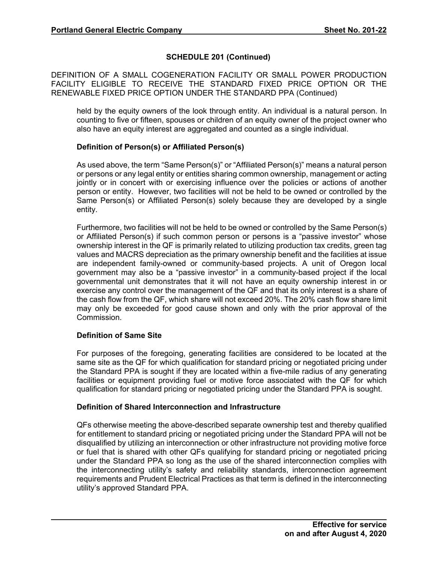DEFINITION OF A SMALL COGENERATION FACILITY OR SMALL POWER PRODUCTION FACILITY ELIGIBLE TO RECEIVE THE STANDARD FIXED PRICE OPTION OR THE RENEWABLE FIXED PRICE OPTION UNDER THE STANDARD PPA (Continued)

held by the equity owners of the look through entity. An individual is a natural person. In counting to five or fifteen, spouses or children of an equity owner of the project owner who also have an equity interest are aggregated and counted as a single individual.

## **Definition of Person(s) or Affiliated Person(s)**

As used above, the term "Same Person(s)" or "Affiliated Person(s)" means a natural person or persons or any legal entity or entities sharing common ownership, management or acting jointly or in concert with or exercising influence over the policies or actions of another person or entity. However, two facilities will not be held to be owned or controlled by the Same Person(s) or Affiliated Person(s) solely because they are developed by a single entity.

Furthermore, two facilities will not be held to be owned or controlled by the Same Person(s) or Affiliated Person(s) if such common person or persons is a "passive investor" whose ownership interest in the QF is primarily related to utilizing production tax credits, green tag values and MACRS depreciation as the primary ownership benefit and the facilities at issue are independent family-owned or community-based projects. A unit of Oregon local government may also be a "passive investor" in a community-based project if the local governmental unit demonstrates that it will not have an equity ownership interest in or exercise any control over the management of the QF and that its only interest is a share of the cash flow from the QF, which share will not exceed 20%. The 20% cash flow share limit may only be exceeded for good cause shown and only with the prior approval of the Commission.

## **Definition of Same Site**

For purposes of the foregoing, generating facilities are considered to be located at the same site as the QF for which qualification for standard pricing or negotiated pricing under the Standard PPA is sought if they are located within a five-mile radius of any generating facilities or equipment providing fuel or motive force associated with the QF for which qualification for standard pricing or negotiated pricing under the Standard PPA is sought.

## **Definition of Shared Interconnection and Infrastructure**

QFs otherwise meeting the above-described separate ownership test and thereby qualified for entitlement to standard pricing or negotiated pricing under the Standard PPA will not be disqualified by utilizing an interconnection or other infrastructure not providing motive force or fuel that is shared with other QFs qualifying for standard pricing or negotiated pricing under the Standard PPA so long as the use of the shared interconnection complies with the interconnecting utility's safety and reliability standards, interconnection agreement requirements and Prudent Electrical Practices as that term is defined in the interconnecting utility's approved Standard PPA.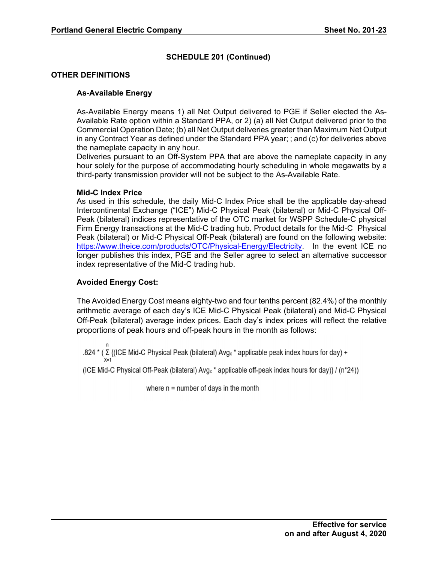## **OTHER DEFINITIONS**

## **As-Available Energy**

As-Available Energy means 1) all Net Output delivered to PGE if Seller elected the As-Available Rate option within a Standard PPA, or 2) (a) all Net Output delivered prior to the Commercial Operation Date; (b) all Net Output deliveries greater than Maximum Net Output in any Contract Year as defined under the Standard PPA year; ; and (c) for deliveries above the nameplate capacity in any hour.

Deliveries pursuant to an Off-System PPA that are above the nameplate capacity in any hour solely for the purpose of accommodating hourly scheduling in whole megawatts by a third-party transmission provider will not be subject to the As-Available Rate.

### **Mid-C Index Price**

As used in this schedule, the daily Mid-C Index Price shall be the applicable day-ahead Intercontinental Exchange ("ICE") Mid-C Physical Peak (bilateral) or Mid-C Physical Off-Peak (bilateral) indices representative of the OTC market for WSPP Schedule-C physical Firm Energy transactions at the Mid-C trading hub. Product details for the Mid-C Physical Peak (bilateral) or Mid-C Physical Off-Peak (bilateral) are found on the following website: https://www.theice.com/products/OTC/Physical-Energy/Electricity. In the event ICE no longer publishes this index, PGE and the Seller agree to select an alternative successor index representative of the Mid-C trading hub.

### **Avoided Energy Cost:**

The Avoided Energy Cost means eighty-two and four tenths percent (82.4%) of the monthly arithmetic average of each day's ICE Mid-C Physical Peak (bilateral) and Mid-C Physical Off-Peak (bilateral) average index prices. Each day's index prices will reflect the relative proportions of peak hours and off-peak hours in the month as follows:

n .824  $*(\Sigma\$  (ICE Mid-C Physical Peak (bilateral) Avg<sub>x</sub>  $*$  applicable peak index hours for day) + X=1

(ICE Mid-C Physical Off-Peak (bilateral)  $Avg_x *$  applicable off-peak index hours for day)} / (n\*24))

where  $n =$  number of days in the month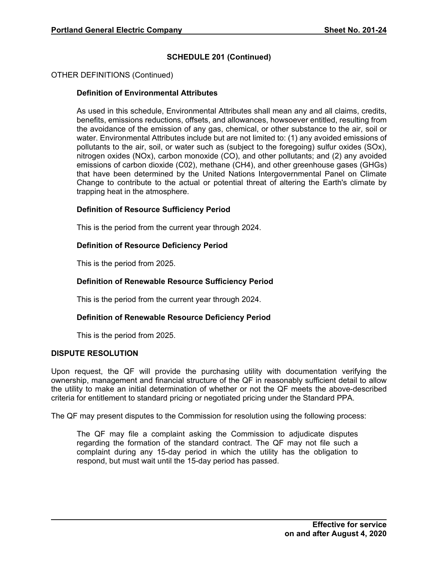## OTHER DEFINITIONS (Continued)

### **Definition of Environmental Attributes**

As used in this schedule, Environmental Attributes shall mean any and all claims, credits, benefits, emissions reductions, offsets, and allowances, howsoever entitled, resulting from the avoidance of the emission of any gas, chemical, or other substance to the air, soil or water. Environmental Attributes include but are not limited to: (1) any avoided emissions of pollutants to the air, soil, or water such as (subject to the foregoing) sulfur oxides (SOx), nitrogen oxides (NOx), carbon monoxide (CO), and other pollutants; and (2) any avoided emissions of carbon dioxide (C02), methane (CH4), and other greenhouse gases (GHGs) that have been determined by the United Nations Intergovernmental Panel on Climate Change to contribute to the actual or potential threat of altering the Earth's climate by trapping heat in the atmosphere.

### **Definition of Resource Sufficiency Period**

This is the period from the current year through 2024.

### **Definition of Resource Deficiency Period**

This is the period from 2025.

### **Definition of Renewable Resource Sufficiency Period**

This is the period from the current year through 2024.

#### **Definition of Renewable Resource Deficiency Period**

This is the period from 2025.

### **DISPUTE RESOLUTION**

Upon request, the QF will provide the purchasing utility with documentation verifying the ownership, management and financial structure of the QF in reasonably sufficient detail to allow the utility to make an initial determination of whether or not the QF meets the above-described criteria for entitlement to standard pricing or negotiated pricing under the Standard PPA.

The QF may present disputes to the Commission for resolution using the following process:

The QF may file a complaint asking the Commission to adjudicate disputes regarding the formation of the standard contract. The QF may not file such a complaint during any 15-day period in which the utility has the obligation to respond, but must wait until the 15-day period has passed.